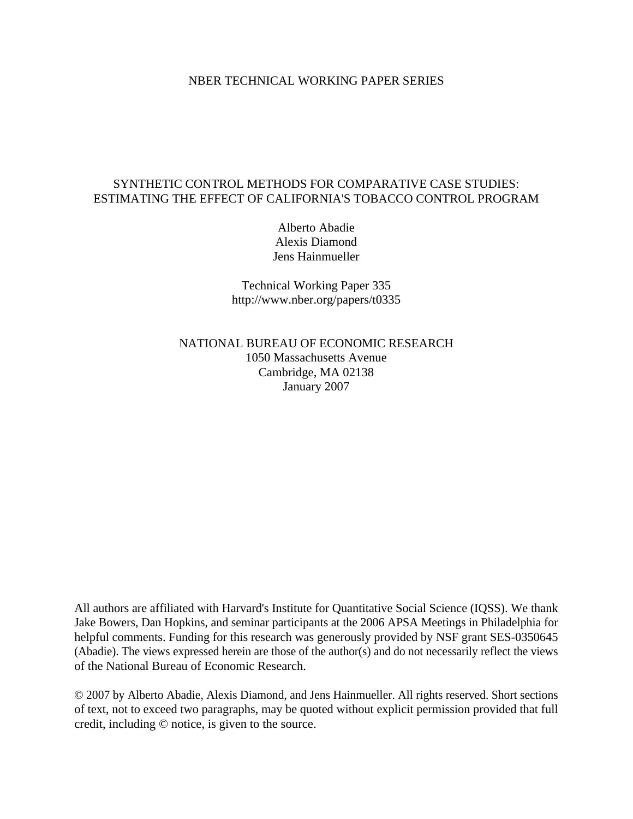## NBER TECHNICAL WORKING PAPER SERIES

# SYNTHETIC CONTROL METHODS FOR COMPARATIVE CASE STUDIES: ESTIMATING THE EFFECT OF CALIFORNIA'S TOBACCO CONTROL PROGRAM

Alberto Abadie Alexis Diamond Jens Hainmueller

Technical Working Paper 335 http://www.nber.org/papers/t0335

NATIONAL BUREAU OF ECONOMIC RESEARCH 1050 Massachusetts Avenue Cambridge, MA 02138 January 2007

All authors are affiliated with Harvard's Institute for Quantitative Social Science (IQSS). We thank Jake Bowers, Dan Hopkins, and seminar participants at the 2006 APSA Meetings in Philadelphia for helpful comments. Funding for this research was generously provided by NSF grant SES-0350645 (Abadie). The views expressed herein are those of the author(s) and do not necessarily reflect the views of the National Bureau of Economic Research.

© 2007 by Alberto Abadie, Alexis Diamond, and Jens Hainmueller. All rights reserved. Short sections of text, not to exceed two paragraphs, may be quoted without explicit permission provided that full credit, including © notice, is given to the source.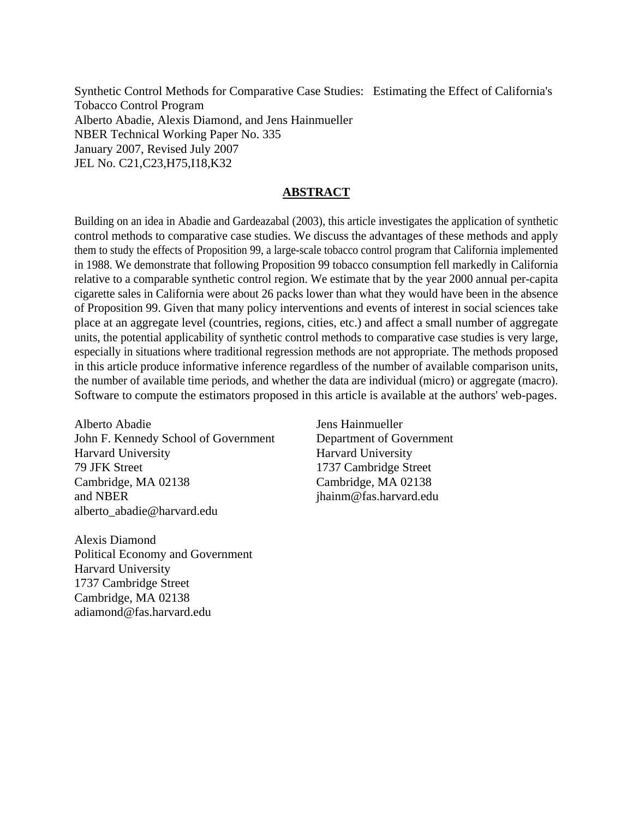Synthetic Control Methods for Comparative Case Studies: Estimating the Effect of California's Tobacco Control Program Alberto Abadie, Alexis Diamond, and Jens Hainmueller NBER Technical Working Paper No. 335 January 2007, Revised July 2007 JEL No. C21,C23,H75,I18,K32

# **ABSTRACT**

Building on an idea in Abadie and Gardeazabal (2003), this article investigates the application of synthetic control methods to comparative case studies. We discuss the advantages of these methods and apply them to study the effects of Proposition 99, a large-scale tobacco control program that California implemented in 1988. We demonstrate that following Proposition 99 tobacco consumption fell markedly in California relative to a comparable synthetic control region. We estimate that by the year 2000 annual per-capita cigarette sales in California were about 26 packs lower than what they would have been in the absence of Proposition 99. Given that many policy interventions and events of interest in social sciences take place at an aggregate level (countries, regions, cities, etc.) and affect a small number of aggregate units, the potential applicability of synthetic control methods to comparative case studies is very large, especially in situations where traditional regression methods are not appropriate. The methods proposed in this article produce informative inference regardless of the number of available comparison units, the number of available time periods, and whether the data are individual (micro) or aggregate (macro). Software to compute the estimators proposed in this article is available at the authors' web-pages.

Alberto Abadie John F. Kennedy School of Government Harvard University 79 JFK Street Cambridge, MA 02138 and NBER alberto\_abadie@harvard.edu

Alexis Diamond Political Economy and Government Harvard University 1737 Cambridge Street Cambridge, MA 02138 adiamond@fas.harvard.edu

Jens Hainmueller Department of Government Harvard University 1737 Cambridge Street Cambridge, MA 02138 jhainm@fas.harvard.edu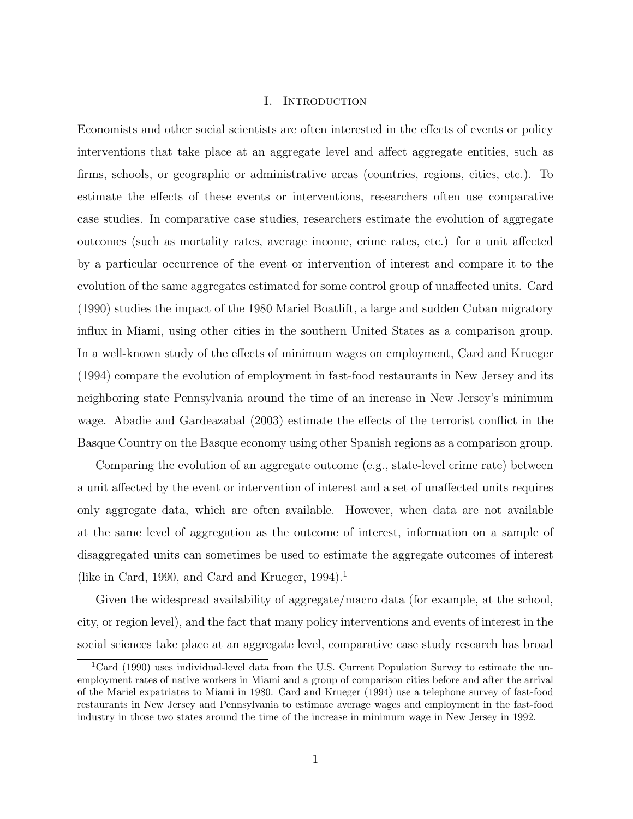#### I. Introduction

Economists and other social scientists are often interested in the effects of events or policy interventions that take place at an aggregate level and affect aggregate entities, such as firms, schools, or geographic or administrative areas (countries, regions, cities, etc.). To estimate the effects of these events or interventions, researchers often use comparative case studies. In comparative case studies, researchers estimate the evolution of aggregate outcomes (such as mortality rates, average income, crime rates, etc.) for a unit affected by a particular occurrence of the event or intervention of interest and compare it to the evolution of the same aggregates estimated for some control group of unaffected units. Card (1990) studies the impact of the 1980 Mariel Boatlift, a large and sudden Cuban migratory influx in Miami, using other cities in the southern United States as a comparison group. In a well-known study of the effects of minimum wages on employment, Card and Krueger (1994) compare the evolution of employment in fast-food restaurants in New Jersey and its neighboring state Pennsylvania around the time of an increase in New Jersey's minimum wage. Abadie and Gardeazabal (2003) estimate the effects of the terrorist conflict in the Basque Country on the Basque economy using other Spanish regions as a comparison group.

Comparing the evolution of an aggregate outcome (e.g., state-level crime rate) between a unit affected by the event or intervention of interest and a set of unaffected units requires only aggregate data, which are often available. However, when data are not available at the same level of aggregation as the outcome of interest, information on a sample of disaggregated units can sometimes be used to estimate the aggregate outcomes of interest (like in Card, 1990, and Card and Krueger, 1994).<sup>1</sup>

Given the widespread availability of aggregate/macro data (for example, at the school, city, or region level), and the fact that many policy interventions and events of interest in the social sciences take place at an aggregate level, comparative case study research has broad

<sup>&</sup>lt;sup>1</sup>Card (1990) uses individual-level data from the U.S. Current Population Survey to estimate the unemployment rates of native workers in Miami and a group of comparison cities before and after the arrival of the Mariel expatriates to Miami in 1980. Card and Krueger (1994) use a telephone survey of fast-food restaurants in New Jersey and Pennsylvania to estimate average wages and employment in the fast-food industry in those two states around the time of the increase in minimum wage in New Jersey in 1992.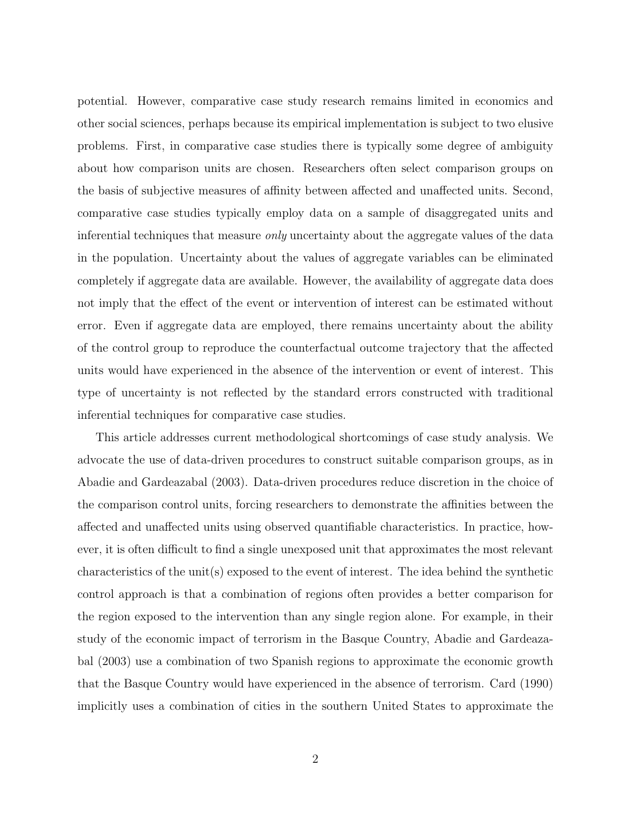potential. However, comparative case study research remains limited in economics and other social sciences, perhaps because its empirical implementation is subject to two elusive problems. First, in comparative case studies there is typically some degree of ambiguity about how comparison units are chosen. Researchers often select comparison groups on the basis of subjective measures of affinity between affected and unaffected units. Second, comparative case studies typically employ data on a sample of disaggregated units and inferential techniques that measure only uncertainty about the aggregate values of the data in the population. Uncertainty about the values of aggregate variables can be eliminated completely if aggregate data are available. However, the availability of aggregate data does not imply that the effect of the event or intervention of interest can be estimated without error. Even if aggregate data are employed, there remains uncertainty about the ability of the control group to reproduce the counterfactual outcome trajectory that the affected units would have experienced in the absence of the intervention or event of interest. This type of uncertainty is not reflected by the standard errors constructed with traditional inferential techniques for comparative case studies.

This article addresses current methodological shortcomings of case study analysis. We advocate the use of data-driven procedures to construct suitable comparison groups, as in Abadie and Gardeazabal (2003). Data-driven procedures reduce discretion in the choice of the comparison control units, forcing researchers to demonstrate the affinities between the affected and unaffected units using observed quantifiable characteristics. In practice, however, it is often difficult to find a single unexposed unit that approximates the most relevant characteristics of the unit(s) exposed to the event of interest. The idea behind the synthetic control approach is that a combination of regions often provides a better comparison for the region exposed to the intervention than any single region alone. For example, in their study of the economic impact of terrorism in the Basque Country, Abadie and Gardeazabal (2003) use a combination of two Spanish regions to approximate the economic growth that the Basque Country would have experienced in the absence of terrorism. Card (1990) implicitly uses a combination of cities in the southern United States to approximate the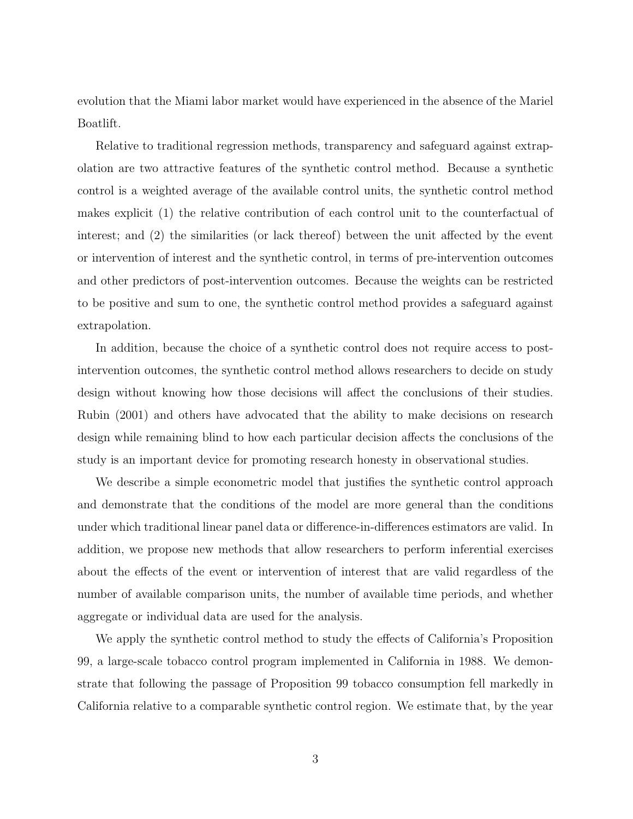evolution that the Miami labor market would have experienced in the absence of the Mariel Boatlift.

Relative to traditional regression methods, transparency and safeguard against extrapolation are two attractive features of the synthetic control method. Because a synthetic control is a weighted average of the available control units, the synthetic control method makes explicit (1) the relative contribution of each control unit to the counterfactual of interest; and (2) the similarities (or lack thereof) between the unit affected by the event or intervention of interest and the synthetic control, in terms of pre-intervention outcomes and other predictors of post-intervention outcomes. Because the weights can be restricted to be positive and sum to one, the synthetic control method provides a safeguard against extrapolation.

In addition, because the choice of a synthetic control does not require access to postintervention outcomes, the synthetic control method allows researchers to decide on study design without knowing how those decisions will affect the conclusions of their studies. Rubin (2001) and others have advocated that the ability to make decisions on research design while remaining blind to how each particular decision affects the conclusions of the study is an important device for promoting research honesty in observational studies.

We describe a simple econometric model that justifies the synthetic control approach and demonstrate that the conditions of the model are more general than the conditions under which traditional linear panel data or difference-in-differences estimators are valid. In addition, we propose new methods that allow researchers to perform inferential exercises about the effects of the event or intervention of interest that are valid regardless of the number of available comparison units, the number of available time periods, and whether aggregate or individual data are used for the analysis.

We apply the synthetic control method to study the effects of California's Proposition 99, a large-scale tobacco control program implemented in California in 1988. We demonstrate that following the passage of Proposition 99 tobacco consumption fell markedly in California relative to a comparable synthetic control region. We estimate that, by the year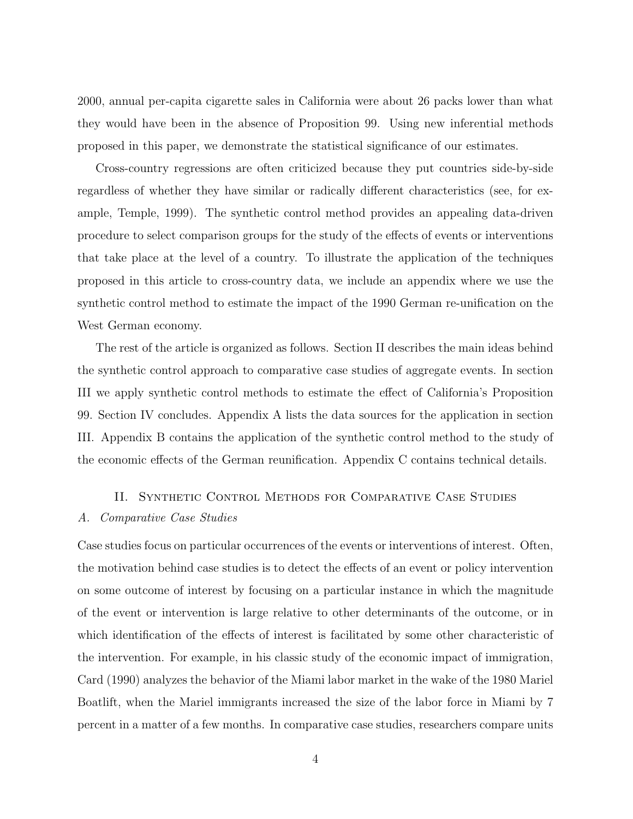2000, annual per-capita cigarette sales in California were about 26 packs lower than what they would have been in the absence of Proposition 99. Using new inferential methods proposed in this paper, we demonstrate the statistical significance of our estimates.

Cross-country regressions are often criticized because they put countries side-by-side regardless of whether they have similar or radically different characteristics (see, for example, Temple, 1999). The synthetic control method provides an appealing data-driven procedure to select comparison groups for the study of the effects of events or interventions that take place at the level of a country. To illustrate the application of the techniques proposed in this article to cross-country data, we include an appendix where we use the synthetic control method to estimate the impact of the 1990 German re-unification on the West German economy.

The rest of the article is organized as follows. Section II describes the main ideas behind the synthetic control approach to comparative case studies of aggregate events. In section III we apply synthetic control methods to estimate the effect of California's Proposition 99. Section IV concludes. Appendix A lists the data sources for the application in section III. Appendix B contains the application of the synthetic control method to the study of the economic effects of the German reunification. Appendix C contains technical details.

# II. Synthetic Control Methods for Comparative Case Studies

## A. Comparative Case Studies

Case studies focus on particular occurrences of the events or interventions of interest. Often, the motivation behind case studies is to detect the effects of an event or policy intervention on some outcome of interest by focusing on a particular instance in which the magnitude of the event or intervention is large relative to other determinants of the outcome, or in which identification of the effects of interest is facilitated by some other characteristic of the intervention. For example, in his classic study of the economic impact of immigration, Card (1990) analyzes the behavior of the Miami labor market in the wake of the 1980 Mariel Boatlift, when the Mariel immigrants increased the size of the labor force in Miami by 7 percent in a matter of a few months. In comparative case studies, researchers compare units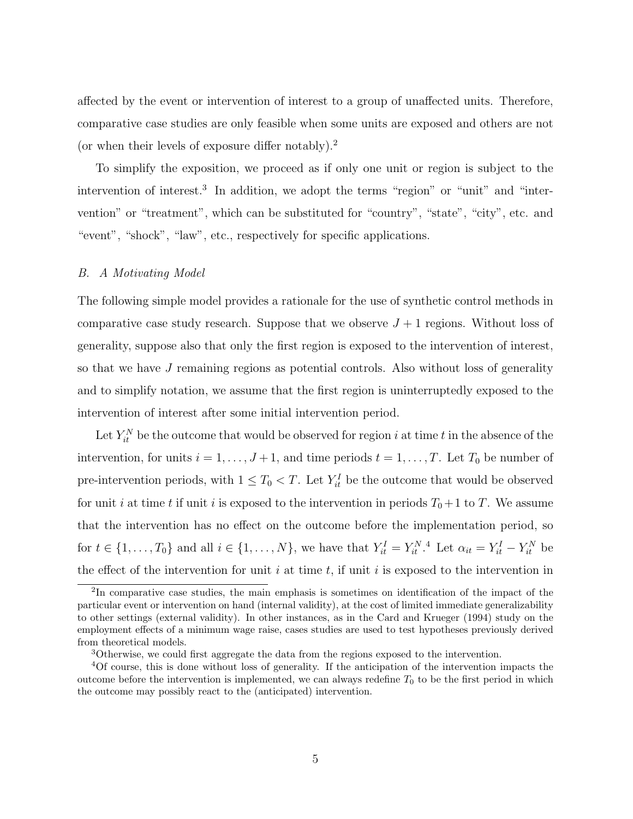affected by the event or intervention of interest to a group of unaffected units. Therefore, comparative case studies are only feasible when some units are exposed and others are not (or when their levels of exposure differ notably).<sup>2</sup>

To simplify the exposition, we proceed as if only one unit or region is subject to the intervention of interest.<sup>3</sup> In addition, we adopt the terms "region" or "unit" and "intervention" or "treatment", which can be substituted for "country", "state", "city", etc. and "event", "shock", "law", etc., respectively for specific applications.

#### B. A Motivating Model

The following simple model provides a rationale for the use of synthetic control methods in comparative case study research. Suppose that we observe  $J+1$  regions. Without loss of generality, suppose also that only the first region is exposed to the intervention of interest, so that we have J remaining regions as potential controls. Also without loss of generality and to simplify notation, we assume that the first region is uninterruptedly exposed to the intervention of interest after some initial intervention period.

Let  $Y_{it}^N$  be the outcome that would be observed for region i at time t in the absence of the intervention, for units  $i = 1, \ldots, J + 1$ , and time periods  $t = 1, \ldots, T$ . Let  $T_0$  be number of pre-intervention periods, with  $1 \leq T_0 < T$ . Let  $Y_{it}^I$  be the outcome that would be observed for unit i at time t if unit i is exposed to the intervention in periods  $T_0+1$  to T. We assume that the intervention has no effect on the outcome before the implementation period, so for  $t \in \{1, \ldots, T_0\}$  and all  $i \in \{1, \ldots, N\}$ , we have that  $Y_{it}^I = Y_{it}^{N, 4}$  Let  $\alpha_{it} = Y_{it}^I - Y_{it}^N$  be the effect of the intervention for unit i at time t, if unit i is exposed to the intervention in

<sup>&</sup>lt;sup>2</sup>In comparative case studies, the main emphasis is sometimes on identification of the impact of the particular event or intervention on hand (internal validity), at the cost of limited immediate generalizability to other settings (external validity). In other instances, as in the Card and Krueger (1994) study on the employment effects of a minimum wage raise, cases studies are used to test hypotheses previously derived from theoretical models.

<sup>3</sup>Otherwise, we could first aggregate the data from the regions exposed to the intervention.

<sup>4</sup>Of course, this is done without loss of generality. If the anticipation of the intervention impacts the outcome before the intervention is implemented, we can always redefine  $T_0$  to be the first period in which the outcome may possibly react to the (anticipated) intervention.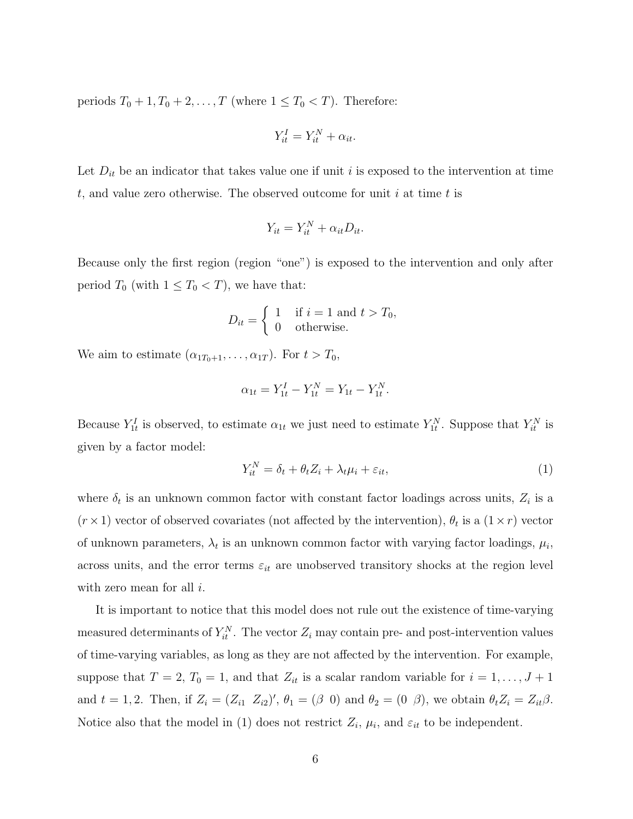periods  $T_0 + 1, T_0 + 2, \ldots, T$  (where  $1 \leq T_0 < T$ ). Therefore:

$$
Y_{it}^I = Y_{it}^N + \alpha_{it}.
$$

Let  $D_{it}$  be an indicator that takes value one if unit i is exposed to the intervention at time t, and value zero otherwise. The observed outcome for unit i at time t is

$$
Y_{it} = Y_{it}^N + \alpha_{it} D_{it}.
$$

Because only the first region (region "one") is exposed to the intervention and only after period  $T_0$  (with  $1 \leq T_0 < T$ ), we have that:

$$
D_{it} = \begin{cases} 1 & \text{if } i = 1 \text{ and } t > T_0, \\ 0 & \text{otherwise.} \end{cases}
$$

We aim to estimate  $(\alpha_{1T_0+1}, \ldots, \alpha_{1T})$ . For  $t > T_0$ ,

$$
\alpha_{1t} = Y_{1t}^I - Y_{1t}^N = Y_{1t} - Y_{1t}^N.
$$

Because  $Y_{1t}^I$  is observed, to estimate  $\alpha_{1t}$  we just need to estimate  $Y_{1t}^N$ . Suppose that  $Y_{it}^N$  is given by a factor model:

$$
Y_{it}^N = \delta_t + \theta_t Z_i + \lambda_t \mu_i + \varepsilon_{it},\tag{1}
$$

where  $\delta_t$  is an unknown common factor with constant factor loadings across units,  $Z_i$  is a  $(r \times 1)$  vector of observed covariates (not affected by the intervention),  $\theta_t$  is a  $(1 \times r)$  vector of unknown parameters,  $\lambda_t$  is an unknown common factor with varying factor loadings,  $\mu_i$ , across units, and the error terms  $\varepsilon_{it}$  are unobserved transitory shocks at the region level with zero mean for all  $i$ .

It is important to notice that this model does not rule out the existence of time-varying measured determinants of  $Y_{it}^N$ . The vector  $Z_i$  may contain pre- and post-intervention values of time-varying variables, as long as they are not affected by the intervention. For example, suppose that  $T = 2$ ,  $T_0 = 1$ , and that  $Z_{it}$  is a scalar random variable for  $i = 1, ..., J + 1$ and  $t = 1, 2$ . Then, if  $Z_i = (Z_{i1} \ Z_{i2})'$ ,  $\theta_1 = (\beta \ 0)$  and  $\theta_2 = (0 \ \beta)$ , we obtain  $\theta_t Z_i = Z_{it} \beta$ . Notice also that the model in (1) does not restrict  $Z_i$ ,  $\mu_i$ , and  $\varepsilon_{it}$  to be independent.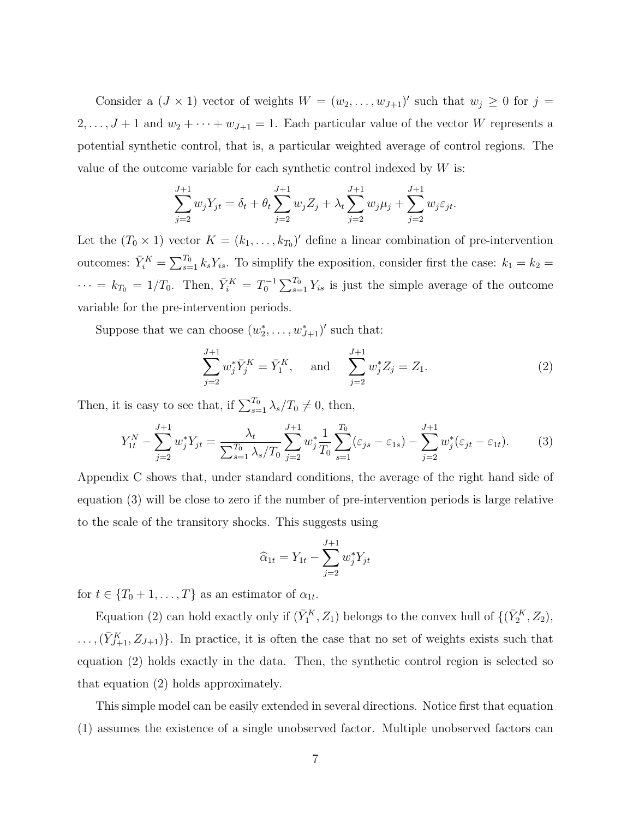Consider a  $(J \times 1)$  vector of weights  $W = (w_2, \ldots, w_{J+1})'$  such that  $w_j \geq 0$  for  $j =$  $2, \ldots, J+1$  and  $w_2 + \cdots + w_{J+1} = 1$ . Each particular value of the vector W represents a potential synthetic control, that is, a particular weighted average of control regions. The value of the outcome variable for each synthetic control indexed by  $W$  is:

$$
\sum_{j=2}^{J+1} w_j Y_{jt} = \delta_t + \theta_t \sum_{j=2}^{J+1} w_j Z_j + \lambda_t \sum_{j=2}^{J+1} w_j \mu_j + \sum_{j=2}^{J+1} w_j \varepsilon_{jt}.
$$

Let the  $(T_0 \times 1)$  vector  $K = (k_1, \ldots, k_{T_0})'$  define a linear combination of pre-intervention outcomes:  $\bar{Y}_i^K =$  $\overline{\nabla^T}$  $s=1 \n k_s Y_{is}$ . To simplify the exposition, consider first the case:  $k_1 = k_2 =$  $\cdots = k_{T_0} = 1/T_0$ . Then,  $\bar{Y}_i^K = T_0^{-1}$  $\overline{\smash{\bigtriangledown}}$ T<sub>0</sub>  $s=1 \atop s=1$   $Y_{is}$  is just the simple average of the outcome variable for the pre-intervention periods.

Suppose that we can choose  $(w_2^*, \ldots, w_{J+1}^*)'$  such that:

$$
\sum_{j=2}^{J+1} w_j^* \bar{Y}_j^K = \bar{Y}_1^K, \quad \text{and} \quad \sum_{j=2}^{J+1} w_j^* Z_j = Z_1. \tag{2}
$$

Then, it is easy to see that, if  $\sum_{s=1}^{T_0} \lambda_s/T_0 \neq 0$ , then,

$$
Y_{1t}^N - \sum_{j=2}^{J+1} w_j^* Y_{jt} = \frac{\lambda_t}{\sum_{s=1}^{T_0} \lambda_s / T_0} \sum_{j=2}^{J+1} w_j^* \frac{1}{T_0} \sum_{s=1}^{T_0} (\varepsilon_{js} - \varepsilon_{1s}) - \sum_{j=2}^{J+1} w_j^* (\varepsilon_{jt} - \varepsilon_{1t}). \tag{3}
$$

Appendix C shows that, under standard conditions, the average of the right hand side of equation (3) will be close to zero if the number of pre-intervention periods is large relative to the scale of the transitory shocks. This suggests using

$$
\widehat{\alpha}_{1t} = Y_{1t} - \sum_{j=2}^{J+1} w_j^* Y_{jt}
$$

for  $t \in \{T_0 + 1, \ldots, T\}$  as an estimator of  $\alpha_{1t}$ .

Equation (2) can hold exactly only if  $(\bar{Y}_1^K, Z_1)$  belongs to the convex hull of  $\{(\bar{Y}_2^K, Z_2),$  $\ldots,(\bar{Y}_{J+1}^K, Z_{J+1})\}$ . In practice, it is often the case that no set of weights exists such that equation (2) holds exactly in the data. Then, the synthetic control region is selected so that equation (2) holds approximately.

This simple model can be easily extended in several directions. Notice first that equation (1) assumes the existence of a single unobserved factor. Multiple unobserved factors can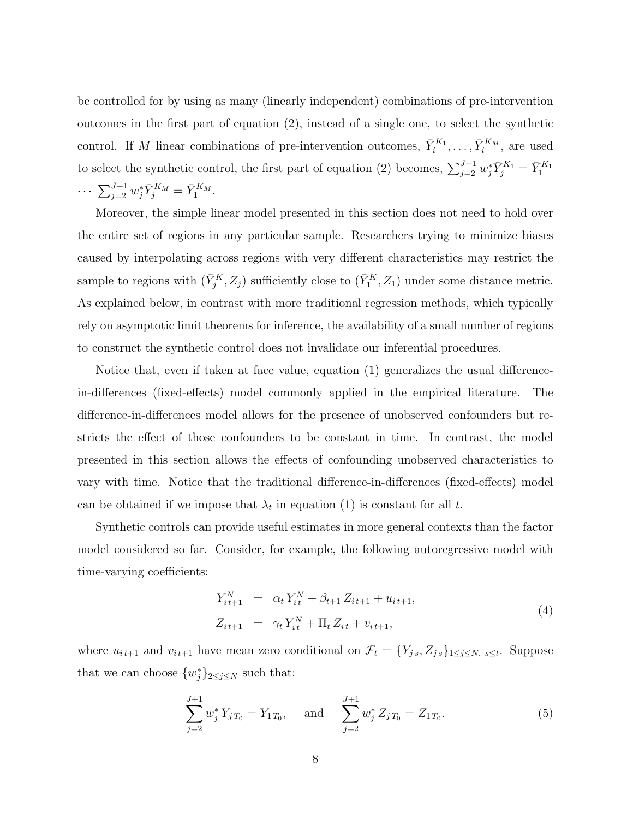be controlled for by using as many (linearly independent) combinations of pre-intervention outcomes in the first part of equation (2), instead of a single one, to select the synthetic control. If M linear combinations of pre-intervention outcomes,  $\bar{Y}_i^{K_1}, \ldots, \bar{Y}_i^{K_M}$ , are used to select the synthetic control, the first part of equation (2) becomes,  $\sum_{j=2}^{J+1} w_j^* \bar{Y}_j^{K_1} = \bar{Y}_1^{K_1}$  $\cdots \sum_{j=2}^{J+1} w_j^* \bar{Y}_j^{K_M} = \bar{Y}_1^{K_M}.$ 

Moreover, the simple linear model presented in this section does not need to hold over the entire set of regions in any particular sample. Researchers trying to minimize biases caused by interpolating across regions with very different characteristics may restrict the sample to regions with  $(\bar{Y}_j^K, Z_j)$  sufficiently close to  $(\bar{Y}_1^K, Z_1)$  under some distance metric. As explained below, in contrast with more traditional regression methods, which typically rely on asymptotic limit theorems for inference, the availability of a small number of regions to construct the synthetic control does not invalidate our inferential procedures.

Notice that, even if taken at face value, equation (1) generalizes the usual differencein-differences (fixed-effects) model commonly applied in the empirical literature. The difference-in-differences model allows for the presence of unobserved confounders but restricts the effect of those confounders to be constant in time. In contrast, the model presented in this section allows the effects of confounding unobserved characteristics to vary with time. Notice that the traditional difference-in-differences (fixed-effects) model can be obtained if we impose that  $\lambda_t$  in equation (1) is constant for all t.

Synthetic controls can provide useful estimates in more general contexts than the factor model considered so far. Consider, for example, the following autoregressive model with time-varying coefficients:

$$
Y_{it+1}^N = \alpha_t Y_{it}^N + \beta_{t+1} Z_{it+1} + u_{it+1},
$$
  
\n
$$
Z_{it+1} = \gamma_t Y_{it}^N + \Pi_t Z_{it} + v_{it+1},
$$
\n(4)

where  $u_{i,t+1}$  and  $v_{i,t+1}$  have mean zero conditional on  $\mathcal{F}_t = \{Y_{j,s}, Z_{j,s}\}_{1 \leq j \leq N, s \leq t}$ . Suppose that we can choose  $\{w_j^*\}_{2 \leq j \leq N}$  such that:

$$
\sum_{j=2}^{J+1} w_j^* Y_j T_0 = Y_1 T_0, \quad \text{and} \quad \sum_{j=2}^{J+1} w_j^* Z_j T_0 = Z_1 T_0.
$$
 (5)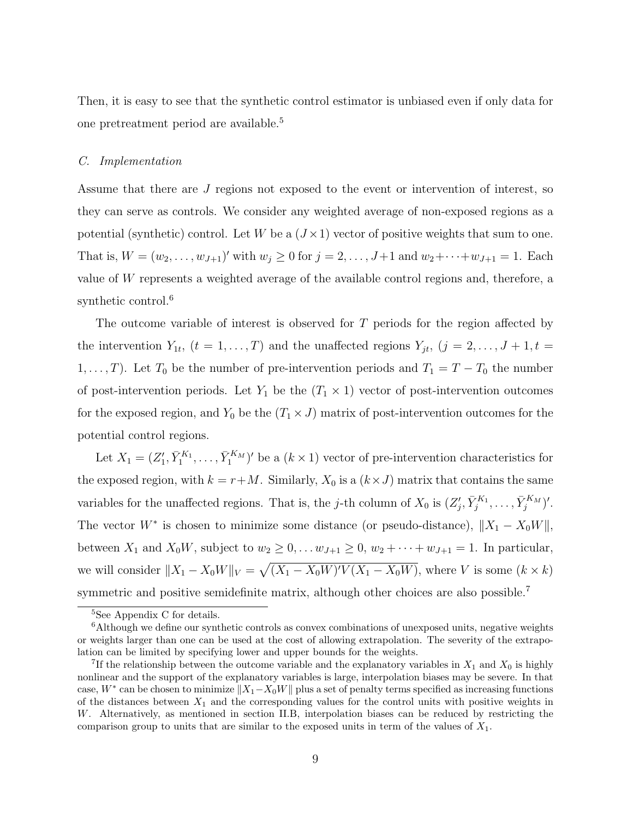Then, it is easy to see that the synthetic control estimator is unbiased even if only data for one pretreatment period are available.<sup>5</sup>

#### C. Implementation

Assume that there are J regions not exposed to the event or intervention of interest, so they can serve as controls. We consider any weighted average of non-exposed regions as a potential (synthetic) control. Let W be a  $(J \times 1)$  vector of positive weights that sum to one. That is,  $W = (w_2, \ldots, w_{J+1})'$  with  $w_j \ge 0$  for  $j = 2, \ldots, J+1$  and  $w_2 + \cdots + w_{J+1} = 1$ . Each value of W represents a weighted average of the available control regions and, therefore, a synthetic control.<sup>6</sup>

The outcome variable of interest is observed for T periods for the region affected by the intervention  $Y_{1t}$ ,  $(t = 1, ..., T)$  and the unaffected regions  $Y_{jt}$ ,  $(j = 2, ..., J + 1, t =$ 1, ..., T). Let  $T_0$  be the number of pre-intervention periods and  $T_1 = T - T_0$  the number of post-intervention periods. Let  $Y_1$  be the  $(T_1 \times 1)$  vector of post-intervention outcomes for the exposed region, and  $Y_0$  be the  $(T_1 \times J)$  matrix of post-intervention outcomes for the potential control regions.

Let  $X_1 = (Z'_1, \bar{Y}_1^{K_1}, \ldots, \bar{Y}_1^{K_M})'$  be a  $(k \times 1)$  vector of pre-intervention characteristics for the exposed region, with  $k = r + M$ . Similarly,  $X_0$  is a  $(k \times J)$  matrix that contains the same variables for the unaffected regions. That is, the j-th column of  $X_0$  is  $(Z'_j, \bar{Y}_j^{K_1}, \ldots, \bar{Y}_j^{K_M})'$ . The vector  $W^*$  is chosen to minimize some distance (or pseudo-distance),  $||X_1 - X_0 W||$ , between  $X_1$  and  $X_0W$ , subject to  $w_2 \geq 0, \ldots w_{J+1} \geq 0$ ,  $w_2 + \cdots + w_{J+1} = 1$ . In particular, we will consider  $||X_1 - X_0W||_V =$  $\overline{\phantom{a}}$  $(X_1 - X_0 W)'V(X_1 - X_0 W)$ , where V is some  $(k \times k)$ symmetric and positive semidefinite matrix, although other choices are also possible.<sup>7</sup>

<sup>5</sup>See Appendix C for details.

 $6$ Although we define our synthetic controls as convex combinations of unexposed units, negative weights or weights larger than one can be used at the cost of allowing extrapolation. The severity of the extrapolation can be limited by specifying lower and upper bounds for the weights.

<sup>&</sup>lt;sup>7</sup>If the relationship between the outcome variable and the explanatory variables in  $X_1$  and  $X_0$  is highly nonlinear and the support of the explanatory variables is large, interpolation biases may be severe. In that case, W<sup>\*</sup> can be chosen to minimize  $||X_1-X_0W||$  plus a set of penalty terms specified as increasing functions of the distances between  $X_1$  and the corresponding values for the control units with positive weights in W. Alternatively, as mentioned in section II.B, interpolation biases can be reduced by restricting the comparison group to units that are similar to the exposed units in term of the values of  $X_1$ .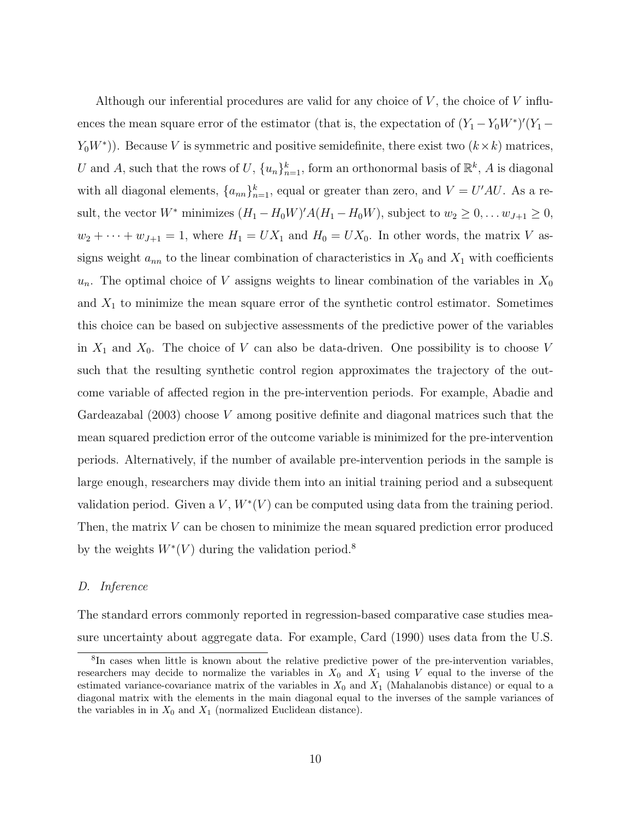Although our inferential procedures are valid for any choice of  $V$ , the choice of  $V$  influences the mean square error of the estimator (that is, the expectation of  $(Y_1 - Y_0 W^*)'(Y_1 Y_0W^*$ )). Because V is symmetric and positive semidefinite, there exist two  $(k \times k)$  matrices, U and A, such that the rows of U,  $\{u_n\}_{n=1}^k$ , form an orthonormal basis of  $\mathbb{R}^k$ , A is diagonal with all diagonal elements,  $\{a_{nn}\}_{n=1}^k$ , equal or greater than zero, and  $V = U'AU$ . As a result, the vector  $W^*$  minimizes  $(H_1 - H_0 W)'A(H_1 - H_0 W)$ , subject to  $w_2 \geq 0, \ldots w_{J+1} \geq 0$ ,  $w_2 + \cdots + w_{J+1} = 1$ , where  $H_1 = UX_1$  and  $H_0 = UX_0$ . In other words, the matrix V assigns weight  $a_{nn}$  to the linear combination of characteristics in  $X_0$  and  $X_1$  with coefficients  $u_n$ . The optimal choice of V assigns weights to linear combination of the variables in  $X_0$ and  $X_1$  to minimize the mean square error of the synthetic control estimator. Sometimes this choice can be based on subjective assessments of the predictive power of the variables in  $X_1$  and  $X_0$ . The choice of V can also be data-driven. One possibility is to choose V such that the resulting synthetic control region approximates the trajectory of the outcome variable of affected region in the pre-intervention periods. For example, Abadie and Gardeazabal  $(2003)$  choose V among positive definite and diagonal matrices such that the mean squared prediction error of the outcome variable is minimized for the pre-intervention periods. Alternatively, if the number of available pre-intervention periods in the sample is large enough, researchers may divide them into an initial training period and a subsequent validation period. Given a  $V, W^*(V)$  can be computed using data from the training period. Then, the matrix V can be chosen to minimize the mean squared prediction error produced by the weights  $W^*(V)$  during the validation period.<sup>8</sup>

#### D. Inference

The standard errors commonly reported in regression-based comparative case studies measure uncertainty about aggregate data. For example, Card (1990) uses data from the U.S.

<sup>8</sup> In cases when little is known about the relative predictive power of the pre-intervention variables, researchers may decide to normalize the variables in  $X_0$  and  $X_1$  using V equal to the inverse of the estimated variance-covariance matrix of the variables in  $X_0$  and  $X_1$  (Mahalanobis distance) or equal to a diagonal matrix with the elements in the main diagonal equal to the inverses of the sample variances of the variables in in  $X_0$  and  $X_1$  (normalized Euclidean distance).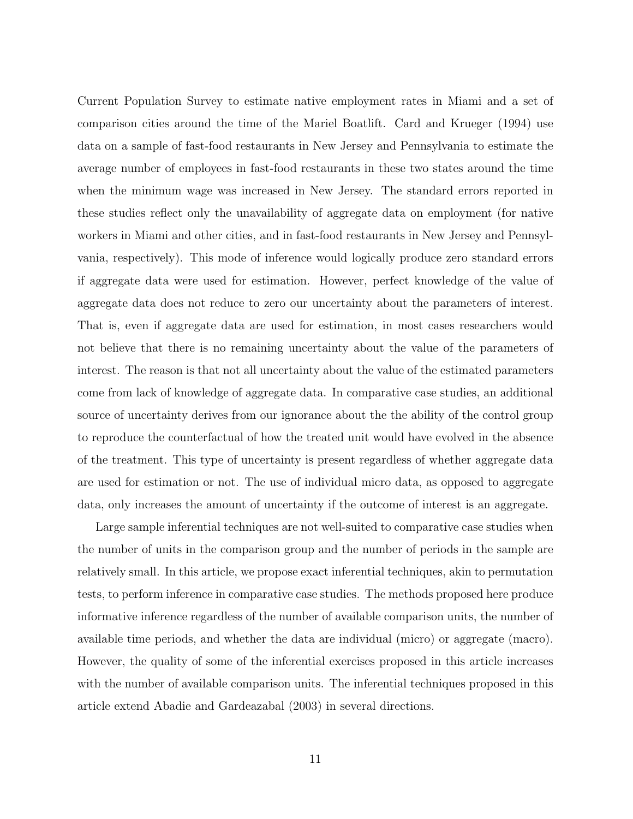Current Population Survey to estimate native employment rates in Miami and a set of comparison cities around the time of the Mariel Boatlift. Card and Krueger (1994) use data on a sample of fast-food restaurants in New Jersey and Pennsylvania to estimate the average number of employees in fast-food restaurants in these two states around the time when the minimum wage was increased in New Jersey. The standard errors reported in these studies reflect only the unavailability of aggregate data on employment (for native workers in Miami and other cities, and in fast-food restaurants in New Jersey and Pennsylvania, respectively). This mode of inference would logically produce zero standard errors if aggregate data were used for estimation. However, perfect knowledge of the value of aggregate data does not reduce to zero our uncertainty about the parameters of interest. That is, even if aggregate data are used for estimation, in most cases researchers would not believe that there is no remaining uncertainty about the value of the parameters of interest. The reason is that not all uncertainty about the value of the estimated parameters come from lack of knowledge of aggregate data. In comparative case studies, an additional source of uncertainty derives from our ignorance about the the ability of the control group to reproduce the counterfactual of how the treated unit would have evolved in the absence of the treatment. This type of uncertainty is present regardless of whether aggregate data are used for estimation or not. The use of individual micro data, as opposed to aggregate data, only increases the amount of uncertainty if the outcome of interest is an aggregate.

Large sample inferential techniques are not well-suited to comparative case studies when the number of units in the comparison group and the number of periods in the sample are relatively small. In this article, we propose exact inferential techniques, akin to permutation tests, to perform inference in comparative case studies. The methods proposed here produce informative inference regardless of the number of available comparison units, the number of available time periods, and whether the data are individual (micro) or aggregate (macro). However, the quality of some of the inferential exercises proposed in this article increases with the number of available comparison units. The inferential techniques proposed in this article extend Abadie and Gardeazabal (2003) in several directions.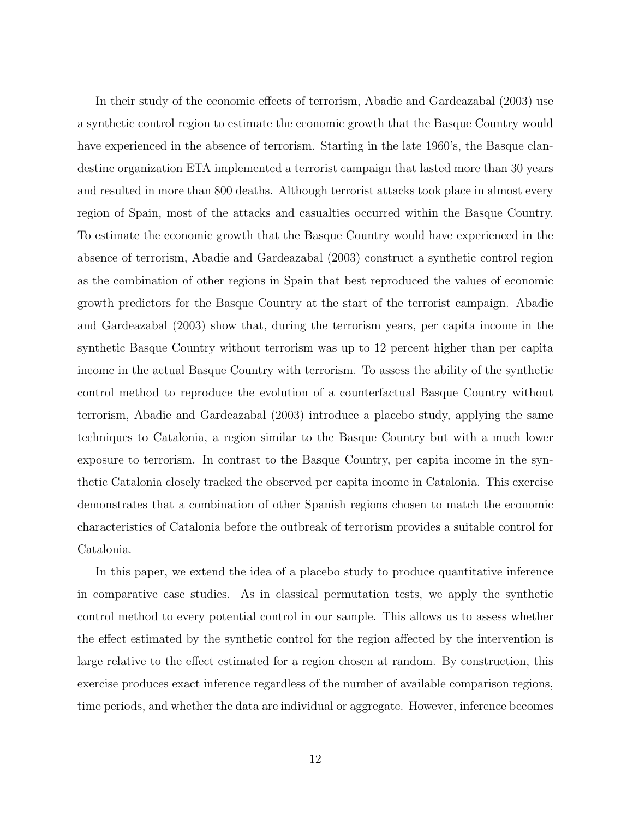In their study of the economic effects of terrorism, Abadie and Gardeazabal (2003) use a synthetic control region to estimate the economic growth that the Basque Country would have experienced in the absence of terrorism. Starting in the late 1960's, the Basque clandestine organization ETA implemented a terrorist campaign that lasted more than 30 years and resulted in more than 800 deaths. Although terrorist attacks took place in almost every region of Spain, most of the attacks and casualties occurred within the Basque Country. To estimate the economic growth that the Basque Country would have experienced in the absence of terrorism, Abadie and Gardeazabal (2003) construct a synthetic control region as the combination of other regions in Spain that best reproduced the values of economic growth predictors for the Basque Country at the start of the terrorist campaign. Abadie and Gardeazabal (2003) show that, during the terrorism years, per capita income in the synthetic Basque Country without terrorism was up to 12 percent higher than per capita income in the actual Basque Country with terrorism. To assess the ability of the synthetic control method to reproduce the evolution of a counterfactual Basque Country without terrorism, Abadie and Gardeazabal (2003) introduce a placebo study, applying the same techniques to Catalonia, a region similar to the Basque Country but with a much lower exposure to terrorism. In contrast to the Basque Country, per capita income in the synthetic Catalonia closely tracked the observed per capita income in Catalonia. This exercise demonstrates that a combination of other Spanish regions chosen to match the economic characteristics of Catalonia before the outbreak of terrorism provides a suitable control for Catalonia.

In this paper, we extend the idea of a placebo study to produce quantitative inference in comparative case studies. As in classical permutation tests, we apply the synthetic control method to every potential control in our sample. This allows us to assess whether the effect estimated by the synthetic control for the region affected by the intervention is large relative to the effect estimated for a region chosen at random. By construction, this exercise produces exact inference regardless of the number of available comparison regions, time periods, and whether the data are individual or aggregate. However, inference becomes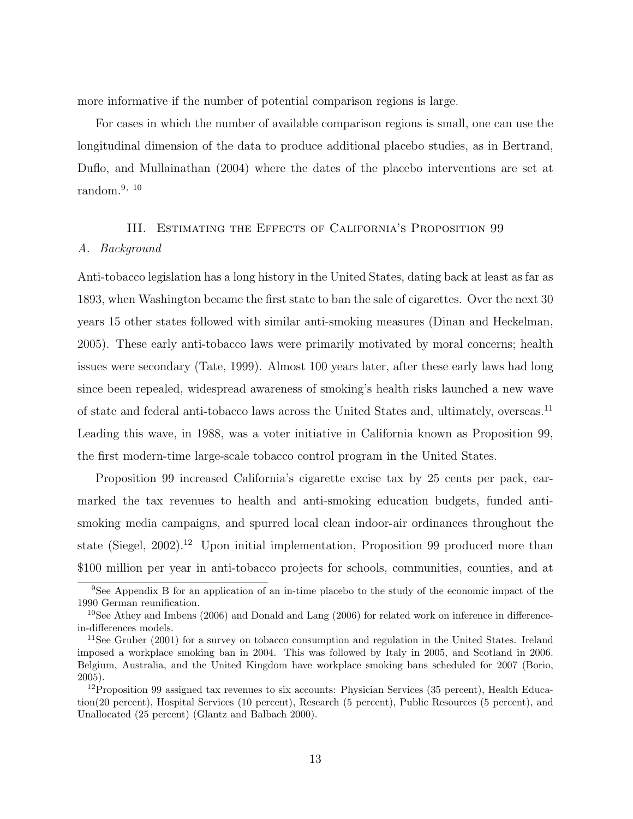more informative if the number of potential comparison regions is large.

For cases in which the number of available comparison regions is small, one can use the longitudinal dimension of the data to produce additional placebo studies, as in Bertrand, Duflo, and Mullainathan (2004) where the dates of the placebo interventions are set at random. $9, 10$ 

#### III. Estimating the Effects of California's Proposition 99

#### A. Background

Anti-tobacco legislation has a long history in the United States, dating back at least as far as 1893, when Washington became the first state to ban the sale of cigarettes. Over the next 30 years 15 other states followed with similar anti-smoking measures (Dinan and Heckelman, 2005). These early anti-tobacco laws were primarily motivated by moral concerns; health issues were secondary (Tate, 1999). Almost 100 years later, after these early laws had long since been repealed, widespread awareness of smoking's health risks launched a new wave of state and federal anti-tobacco laws across the United States and, ultimately, overseas.<sup>11</sup> Leading this wave, in 1988, was a voter initiative in California known as Proposition 99, the first modern-time large-scale tobacco control program in the United States.

Proposition 99 increased California's cigarette excise tax by 25 cents per pack, earmarked the tax revenues to health and anti-smoking education budgets, funded antismoking media campaigns, and spurred local clean indoor-air ordinances throughout the state (Siegel, 2002).<sup>12</sup> Upon initial implementation, Proposition 99 produced more than \$100 million per year in anti-tobacco projects for schools, communities, counties, and at

<sup>&</sup>lt;sup>9</sup>See Appendix B for an application of an in-time placebo to the study of the economic impact of the 1990 German reunification.

<sup>&</sup>lt;sup>10</sup>See Athey and Imbens (2006) and Donald and Lang (2006) for related work on inference in differencein-differences models.

<sup>&</sup>lt;sup>11</sup>See Gruber (2001) for a survey on tobacco consumption and regulation in the United States. Ireland imposed a workplace smoking ban in 2004. This was followed by Italy in 2005, and Scotland in 2006. Belgium, Australia, and the United Kingdom have workplace smoking bans scheduled for 2007 (Borio, 2005).

 $12$ Proposition 99 assigned tax revenues to six accounts: Physician Services (35 percent), Health Education(20 percent), Hospital Services (10 percent), Research (5 percent), Public Resources (5 percent), and Unallocated (25 percent) (Glantz and Balbach 2000).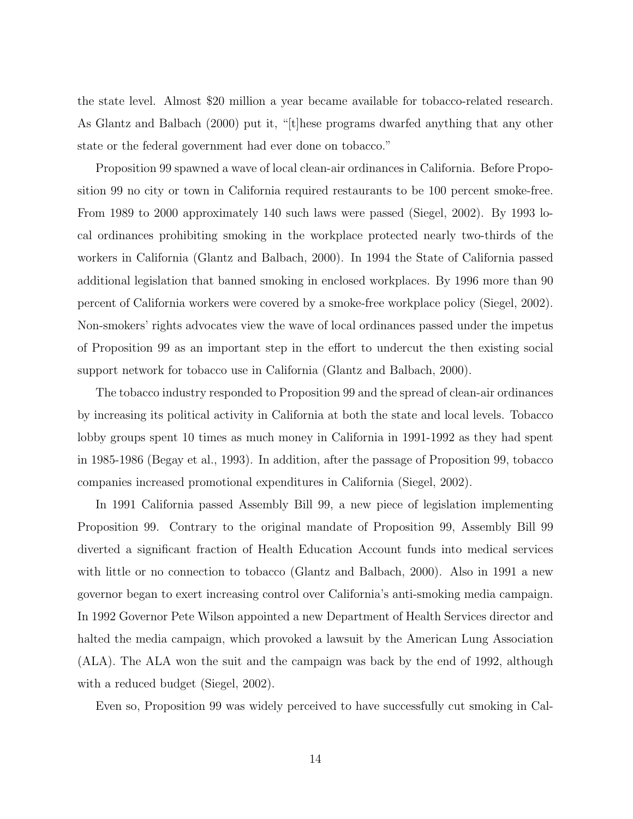the state level. Almost \$20 million a year became available for tobacco-related research. As Glantz and Balbach (2000) put it, "[t]hese programs dwarfed anything that any other state or the federal government had ever done on tobacco."

Proposition 99 spawned a wave of local clean-air ordinances in California. Before Proposition 99 no city or town in California required restaurants to be 100 percent smoke-free. From 1989 to 2000 approximately 140 such laws were passed (Siegel, 2002). By 1993 local ordinances prohibiting smoking in the workplace protected nearly two-thirds of the workers in California (Glantz and Balbach, 2000). In 1994 the State of California passed additional legislation that banned smoking in enclosed workplaces. By 1996 more than 90 percent of California workers were covered by a smoke-free workplace policy (Siegel, 2002). Non-smokers' rights advocates view the wave of local ordinances passed under the impetus of Proposition 99 as an important step in the effort to undercut the then existing social support network for tobacco use in California (Glantz and Balbach, 2000).

The tobacco industry responded to Proposition 99 and the spread of clean-air ordinances by increasing its political activity in California at both the state and local levels. Tobacco lobby groups spent 10 times as much money in California in 1991-1992 as they had spent in 1985-1986 (Begay et al., 1993). In addition, after the passage of Proposition 99, tobacco companies increased promotional expenditures in California (Siegel, 2002).

In 1991 California passed Assembly Bill 99, a new piece of legislation implementing Proposition 99. Contrary to the original mandate of Proposition 99, Assembly Bill 99 diverted a significant fraction of Health Education Account funds into medical services with little or no connection to tobacco (Glantz and Balbach, 2000). Also in 1991 a new governor began to exert increasing control over California's anti-smoking media campaign. In 1992 Governor Pete Wilson appointed a new Department of Health Services director and halted the media campaign, which provoked a lawsuit by the American Lung Association (ALA). The ALA won the suit and the campaign was back by the end of 1992, although with a reduced budget (Siegel, 2002).

Even so, Proposition 99 was widely perceived to have successfully cut smoking in Cal-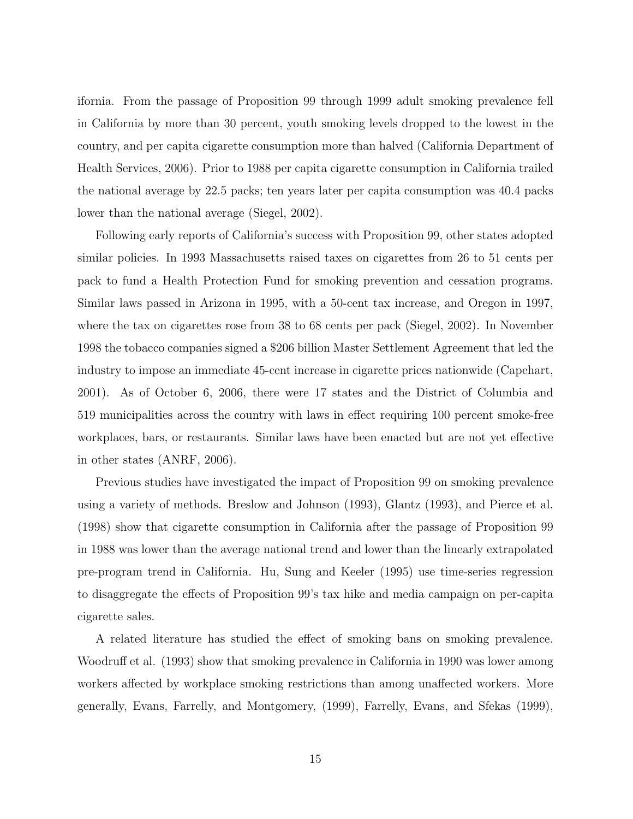ifornia. From the passage of Proposition 99 through 1999 adult smoking prevalence fell in California by more than 30 percent, youth smoking levels dropped to the lowest in the country, and per capita cigarette consumption more than halved (California Department of Health Services, 2006). Prior to 1988 per capita cigarette consumption in California trailed the national average by 22.5 packs; ten years later per capita consumption was 40.4 packs lower than the national average (Siegel, 2002).

Following early reports of California's success with Proposition 99, other states adopted similar policies. In 1993 Massachusetts raised taxes on cigarettes from 26 to 51 cents per pack to fund a Health Protection Fund for smoking prevention and cessation programs. Similar laws passed in Arizona in 1995, with a 50-cent tax increase, and Oregon in 1997, where the tax on cigarettes rose from 38 to 68 cents per pack (Siegel, 2002). In November 1998 the tobacco companies signed a \$206 billion Master Settlement Agreement that led the industry to impose an immediate 45-cent increase in cigarette prices nationwide (Capehart, 2001). As of October 6, 2006, there were 17 states and the District of Columbia and 519 municipalities across the country with laws in effect requiring 100 percent smoke-free workplaces, bars, or restaurants. Similar laws have been enacted but are not yet effective in other states (ANRF, 2006).

Previous studies have investigated the impact of Proposition 99 on smoking prevalence using a variety of methods. Breslow and Johnson (1993), Glantz (1993), and Pierce et al. (1998) show that cigarette consumption in California after the passage of Proposition 99 in 1988 was lower than the average national trend and lower than the linearly extrapolated pre-program trend in California. Hu, Sung and Keeler (1995) use time-series regression to disaggregate the effects of Proposition 99's tax hike and media campaign on per-capita cigarette sales.

A related literature has studied the effect of smoking bans on smoking prevalence. Woodruff et al. (1993) show that smoking prevalence in California in 1990 was lower among workers affected by workplace smoking restrictions than among unaffected workers. More generally, Evans, Farrelly, and Montgomery, (1999), Farrelly, Evans, and Sfekas (1999),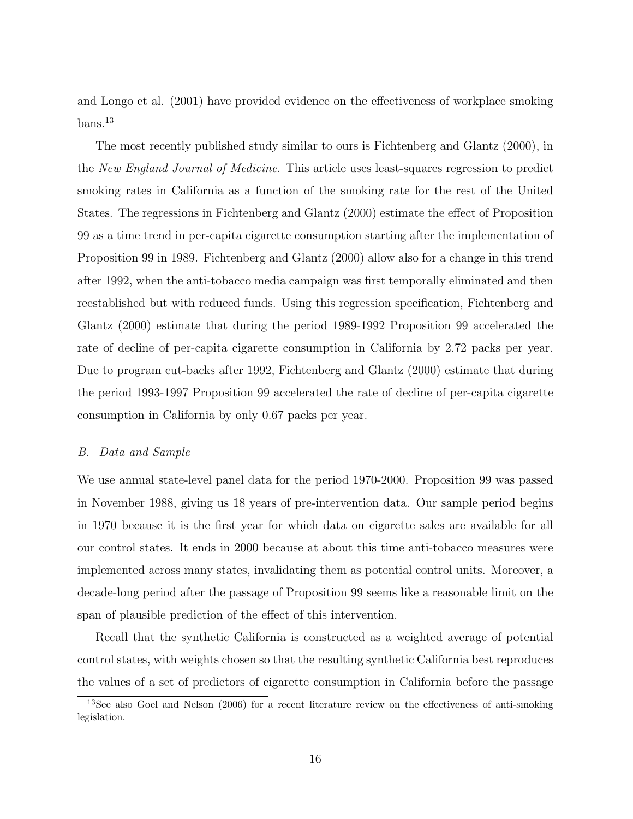and Longo et al. (2001) have provided evidence on the effectiveness of workplace smoking  ${\rm bans.}^{13}$ 

The most recently published study similar to ours is Fichtenberg and Glantz (2000), in the New England Journal of Medicine. This article uses least-squares regression to predict smoking rates in California as a function of the smoking rate for the rest of the United States. The regressions in Fichtenberg and Glantz (2000) estimate the effect of Proposition 99 as a time trend in per-capita cigarette consumption starting after the implementation of Proposition 99 in 1989. Fichtenberg and Glantz (2000) allow also for a change in this trend after 1992, when the anti-tobacco media campaign was first temporally eliminated and then reestablished but with reduced funds. Using this regression specification, Fichtenberg and Glantz (2000) estimate that during the period 1989-1992 Proposition 99 accelerated the rate of decline of per-capita cigarette consumption in California by 2.72 packs per year. Due to program cut-backs after 1992, Fichtenberg and Glantz (2000) estimate that during the period 1993-1997 Proposition 99 accelerated the rate of decline of per-capita cigarette consumption in California by only 0.67 packs per year.

### B. Data and Sample

We use annual state-level panel data for the period 1970-2000. Proposition 99 was passed in November 1988, giving us 18 years of pre-intervention data. Our sample period begins in 1970 because it is the first year for which data on cigarette sales are available for all our control states. It ends in 2000 because at about this time anti-tobacco measures were implemented across many states, invalidating them as potential control units. Moreover, a decade-long period after the passage of Proposition 99 seems like a reasonable limit on the span of plausible prediction of the effect of this intervention.

Recall that the synthetic California is constructed as a weighted average of potential control states, with weights chosen so that the resulting synthetic California best reproduces the values of a set of predictors of cigarette consumption in California before the passage

<sup>&</sup>lt;sup>13</sup>See also Goel and Nelson (2006) for a recent literature review on the effectiveness of anti-smoking legislation.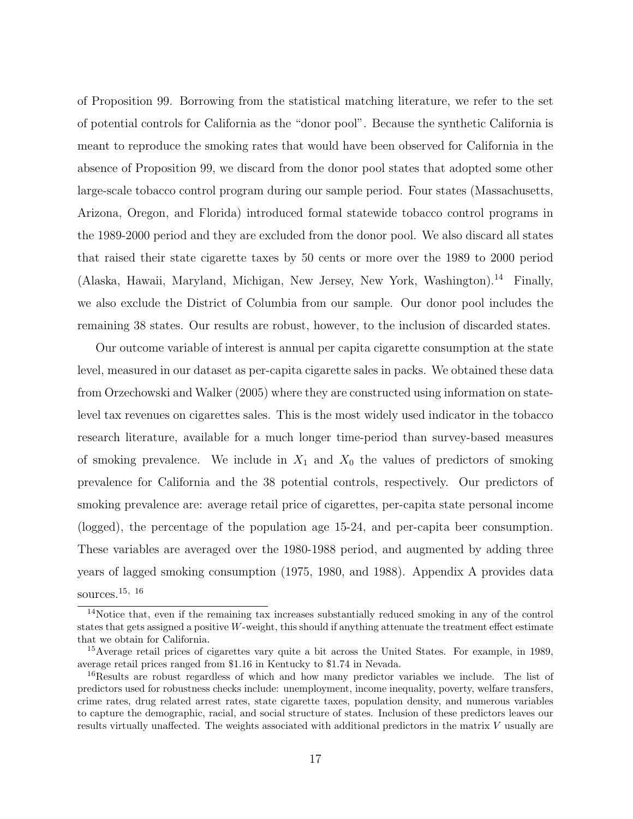of Proposition 99. Borrowing from the statistical matching literature, we refer to the set of potential controls for California as the "donor pool". Because the synthetic California is meant to reproduce the smoking rates that would have been observed for California in the absence of Proposition 99, we discard from the donor pool states that adopted some other large-scale tobacco control program during our sample period. Four states (Massachusetts, Arizona, Oregon, and Florida) introduced formal statewide tobacco control programs in the 1989-2000 period and they are excluded from the donor pool. We also discard all states that raised their state cigarette taxes by 50 cents or more over the 1989 to 2000 period (Alaska, Hawaii, Maryland, Michigan, New Jersey, New York, Washington).<sup>14</sup> Finally, we also exclude the District of Columbia from our sample. Our donor pool includes the remaining 38 states. Our results are robust, however, to the inclusion of discarded states.

Our outcome variable of interest is annual per capita cigarette consumption at the state level, measured in our dataset as per-capita cigarette sales in packs. We obtained these data from Orzechowski and Walker (2005) where they are constructed using information on statelevel tax revenues on cigarettes sales. This is the most widely used indicator in the tobacco research literature, available for a much longer time-period than survey-based measures of smoking prevalence. We include in  $X_1$  and  $X_0$  the values of predictors of smoking prevalence for California and the 38 potential controls, respectively. Our predictors of smoking prevalence are: average retail price of cigarettes, per-capita state personal income (logged), the percentage of the population age 15-24, and per-capita beer consumption. These variables are averaged over the 1980-1988 period, and augmented by adding three years of lagged smoking consumption (1975, 1980, and 1988). Appendix A provides data sources. $15, 16$ 

<sup>&</sup>lt;sup>14</sup>Notice that, even if the remaining tax increases substantially reduced smoking in any of the control states that gets assigned a positive W-weight, this should if anything attenuate the treatment effect estimate that we obtain for California.

<sup>&</sup>lt;sup>15</sup>Average retail prices of cigarettes vary quite a bit across the United States. For example, in 1989, average retail prices ranged from \$1.16 in Kentucky to \$1.74 in Nevada.

<sup>&</sup>lt;sup>16</sup>Results are robust regardless of which and how many predictor variables we include. The list of predictors used for robustness checks include: unemployment, income inequality, poverty, welfare transfers, crime rates, drug related arrest rates, state cigarette taxes, population density, and numerous variables to capture the demographic, racial, and social structure of states. Inclusion of these predictors leaves our results virtually unaffected. The weights associated with additional predictors in the matrix V usually are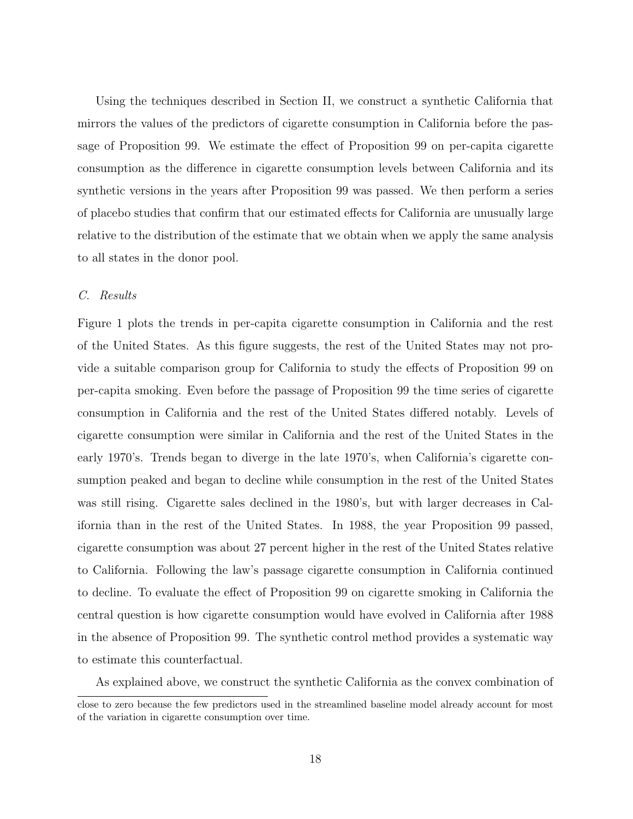Using the techniques described in Section II, we construct a synthetic California that mirrors the values of the predictors of cigarette consumption in California before the passage of Proposition 99. We estimate the effect of Proposition 99 on per-capita cigarette consumption as the difference in cigarette consumption levels between California and its synthetic versions in the years after Proposition 99 was passed. We then perform a series of placebo studies that confirm that our estimated effects for California are unusually large relative to the distribution of the estimate that we obtain when we apply the same analysis to all states in the donor pool.

#### C. Results

Figure 1 plots the trends in per-capita cigarette consumption in California and the rest of the United States. As this figure suggests, the rest of the United States may not provide a suitable comparison group for California to study the effects of Proposition 99 on per-capita smoking. Even before the passage of Proposition 99 the time series of cigarette consumption in California and the rest of the United States differed notably. Levels of cigarette consumption were similar in California and the rest of the United States in the early 1970's. Trends began to diverge in the late 1970's, when California's cigarette consumption peaked and began to decline while consumption in the rest of the United States was still rising. Cigarette sales declined in the 1980's, but with larger decreases in California than in the rest of the United States. In 1988, the year Proposition 99 passed, cigarette consumption was about 27 percent higher in the rest of the United States relative to California. Following the law's passage cigarette consumption in California continued to decline. To evaluate the effect of Proposition 99 on cigarette smoking in California the central question is how cigarette consumption would have evolved in California after 1988 in the absence of Proposition 99. The synthetic control method provides a systematic way to estimate this counterfactual.

As explained above, we construct the synthetic California as the convex combination of

close to zero because the few predictors used in the streamlined baseline model already account for most of the variation in cigarette consumption over time.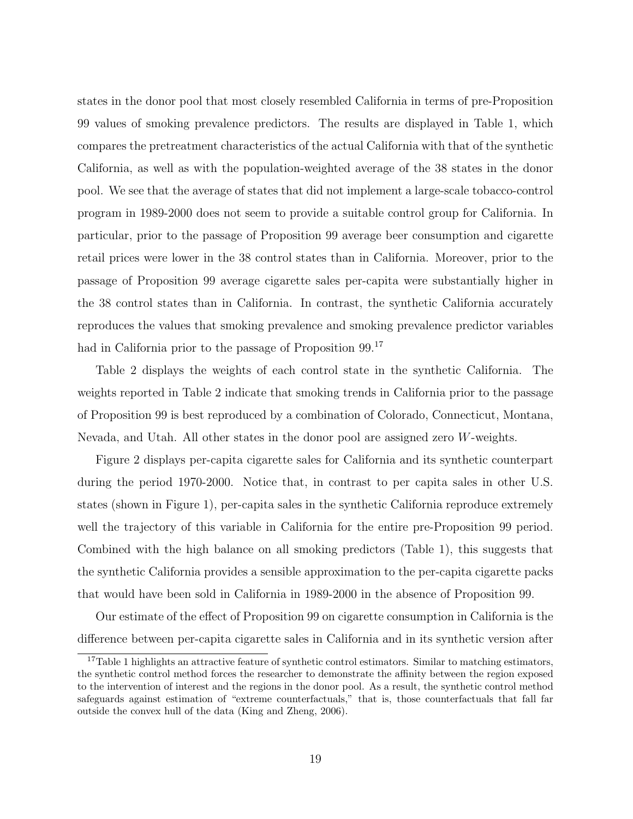states in the donor pool that most closely resembled California in terms of pre-Proposition 99 values of smoking prevalence predictors. The results are displayed in Table 1, which compares the pretreatment characteristics of the actual California with that of the synthetic California, as well as with the population-weighted average of the 38 states in the donor pool. We see that the average of states that did not implement a large-scale tobacco-control program in 1989-2000 does not seem to provide a suitable control group for California. In particular, prior to the passage of Proposition 99 average beer consumption and cigarette retail prices were lower in the 38 control states than in California. Moreover, prior to the passage of Proposition 99 average cigarette sales per-capita were substantially higher in the 38 control states than in California. In contrast, the synthetic California accurately reproduces the values that smoking prevalence and smoking prevalence predictor variables had in California prior to the passage of Proposition 99.<sup>17</sup>

Table 2 displays the weights of each control state in the synthetic California. The weights reported in Table 2 indicate that smoking trends in California prior to the passage of Proposition 99 is best reproduced by a combination of Colorado, Connecticut, Montana, Nevada, and Utah. All other states in the donor pool are assigned zero W-weights.

Figure 2 displays per-capita cigarette sales for California and its synthetic counterpart during the period 1970-2000. Notice that, in contrast to per capita sales in other U.S. states (shown in Figure 1), per-capita sales in the synthetic California reproduce extremely well the trajectory of this variable in California for the entire pre-Proposition 99 period. Combined with the high balance on all smoking predictors (Table 1), this suggests that the synthetic California provides a sensible approximation to the per-capita cigarette packs that would have been sold in California in 1989-2000 in the absence of Proposition 99.

Our estimate of the effect of Proposition 99 on cigarette consumption in California is the difference between per-capita cigarette sales in California and in its synthetic version after

<sup>17</sup>Table 1 highlights an attractive feature of synthetic control estimators. Similar to matching estimators, the synthetic control method forces the researcher to demonstrate the affinity between the region exposed to the intervention of interest and the regions in the donor pool. As a result, the synthetic control method safeguards against estimation of "extreme counterfactuals," that is, those counterfactuals that fall far outside the convex hull of the data (King and Zheng, 2006).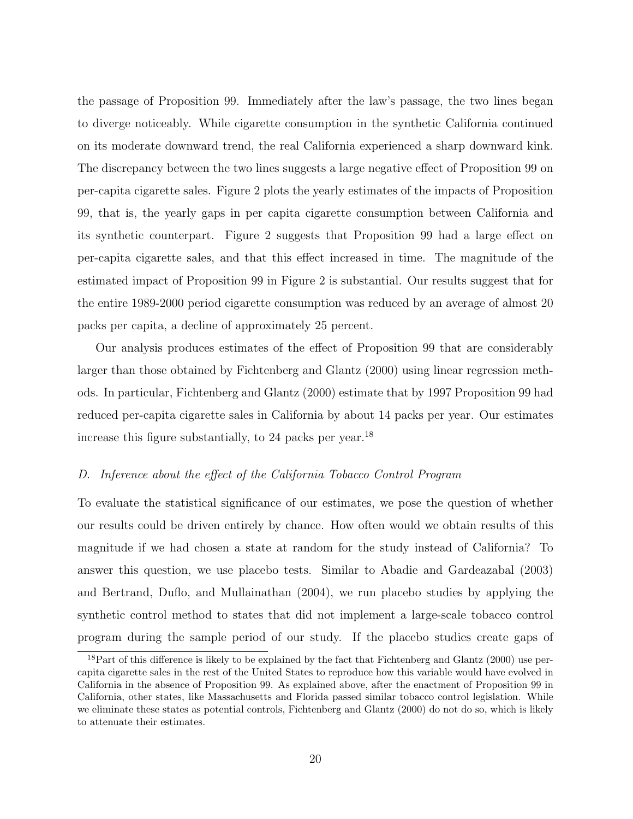the passage of Proposition 99. Immediately after the law's passage, the two lines began to diverge noticeably. While cigarette consumption in the synthetic California continued on its moderate downward trend, the real California experienced a sharp downward kink. The discrepancy between the two lines suggests a large negative effect of Proposition 99 on per-capita cigarette sales. Figure 2 plots the yearly estimates of the impacts of Proposition 99, that is, the yearly gaps in per capita cigarette consumption between California and its synthetic counterpart. Figure 2 suggests that Proposition 99 had a large effect on per-capita cigarette sales, and that this effect increased in time. The magnitude of the estimated impact of Proposition 99 in Figure 2 is substantial. Our results suggest that for the entire 1989-2000 period cigarette consumption was reduced by an average of almost 20 packs per capita, a decline of approximately 25 percent.

Our analysis produces estimates of the effect of Proposition 99 that are considerably larger than those obtained by Fichtenberg and Glantz (2000) using linear regression methods. In particular, Fichtenberg and Glantz (2000) estimate that by 1997 Proposition 99 had reduced per-capita cigarette sales in California by about 14 packs per year. Our estimates increase this figure substantially, to 24 packs per year.<sup>18</sup>

#### D. Inference about the effect of the California Tobacco Control Program

To evaluate the statistical significance of our estimates, we pose the question of whether our results could be driven entirely by chance. How often would we obtain results of this magnitude if we had chosen a state at random for the study instead of California? To answer this question, we use placebo tests. Similar to Abadie and Gardeazabal (2003) and Bertrand, Duflo, and Mullainathan (2004), we run placebo studies by applying the synthetic control method to states that did not implement a large-scale tobacco control program during the sample period of our study. If the placebo studies create gaps of

<sup>&</sup>lt;sup>18</sup>Part of this difference is likely to be explained by the fact that Fichtenberg and Glantz (2000) use percapita cigarette sales in the rest of the United States to reproduce how this variable would have evolved in California in the absence of Proposition 99. As explained above, after the enactment of Proposition 99 in California, other states, like Massachusetts and Florida passed similar tobacco control legislation. While we eliminate these states as potential controls, Fichtenberg and Glantz (2000) do not do so, which is likely to attenuate their estimates.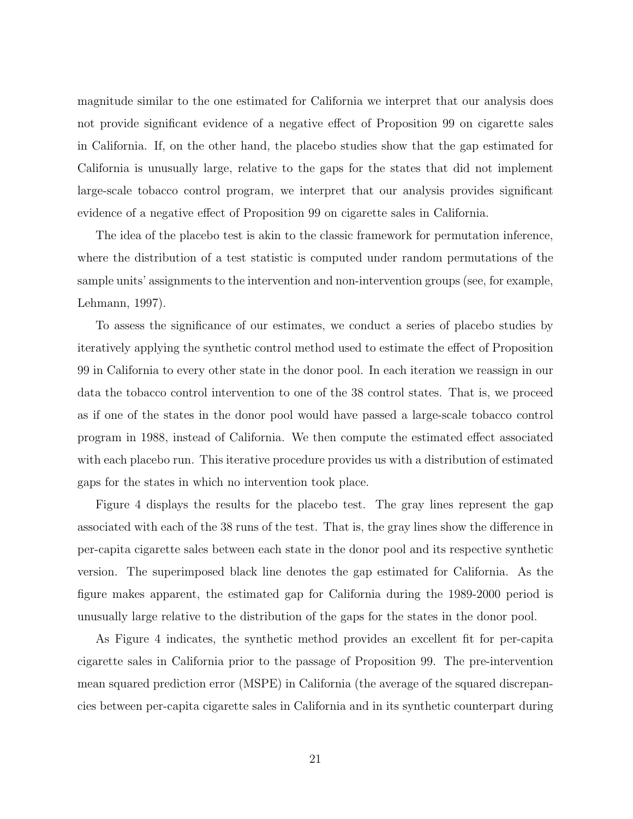magnitude similar to the one estimated for California we interpret that our analysis does not provide significant evidence of a negative effect of Proposition 99 on cigarette sales in California. If, on the other hand, the placebo studies show that the gap estimated for California is unusually large, relative to the gaps for the states that did not implement large-scale tobacco control program, we interpret that our analysis provides significant evidence of a negative effect of Proposition 99 on cigarette sales in California.

The idea of the placebo test is akin to the classic framework for permutation inference, where the distribution of a test statistic is computed under random permutations of the sample units' assignments to the intervention and non-intervention groups (see, for example, Lehmann, 1997).

To assess the significance of our estimates, we conduct a series of placebo studies by iteratively applying the synthetic control method used to estimate the effect of Proposition 99 in California to every other state in the donor pool. In each iteration we reassign in our data the tobacco control intervention to one of the 38 control states. That is, we proceed as if one of the states in the donor pool would have passed a large-scale tobacco control program in 1988, instead of California. We then compute the estimated effect associated with each placebo run. This iterative procedure provides us with a distribution of estimated gaps for the states in which no intervention took place.

Figure 4 displays the results for the placebo test. The gray lines represent the gap associated with each of the 38 runs of the test. That is, the gray lines show the difference in per-capita cigarette sales between each state in the donor pool and its respective synthetic version. The superimposed black line denotes the gap estimated for California. As the figure makes apparent, the estimated gap for California during the 1989-2000 period is unusually large relative to the distribution of the gaps for the states in the donor pool.

As Figure 4 indicates, the synthetic method provides an excellent fit for per-capita cigarette sales in California prior to the passage of Proposition 99. The pre-intervention mean squared prediction error (MSPE) in California (the average of the squared discrepancies between per-capita cigarette sales in California and in its synthetic counterpart during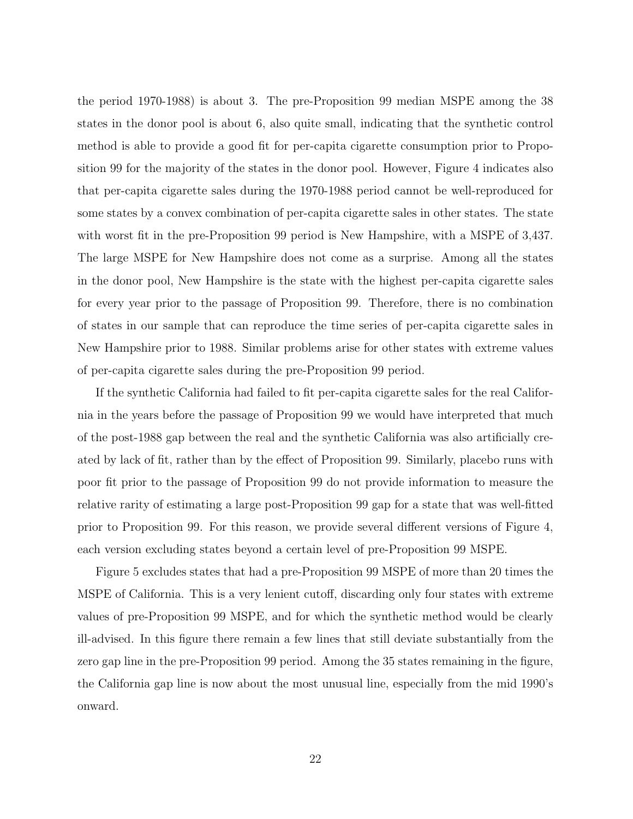the period 1970-1988) is about 3. The pre-Proposition 99 median MSPE among the 38 states in the donor pool is about 6, also quite small, indicating that the synthetic control method is able to provide a good fit for per-capita cigarette consumption prior to Proposition 99 for the majority of the states in the donor pool. However, Figure 4 indicates also that per-capita cigarette sales during the 1970-1988 period cannot be well-reproduced for some states by a convex combination of per-capita cigarette sales in other states. The state with worst fit in the pre-Proposition 99 period is New Hampshire, with a MSPE of 3,437. The large MSPE for New Hampshire does not come as a surprise. Among all the states in the donor pool, New Hampshire is the state with the highest per-capita cigarette sales for every year prior to the passage of Proposition 99. Therefore, there is no combination of states in our sample that can reproduce the time series of per-capita cigarette sales in New Hampshire prior to 1988. Similar problems arise for other states with extreme values of per-capita cigarette sales during the pre-Proposition 99 period.

If the synthetic California had failed to fit per-capita cigarette sales for the real California in the years before the passage of Proposition 99 we would have interpreted that much of the post-1988 gap between the real and the synthetic California was also artificially created by lack of fit, rather than by the effect of Proposition 99. Similarly, placebo runs with poor fit prior to the passage of Proposition 99 do not provide information to measure the relative rarity of estimating a large post-Proposition 99 gap for a state that was well-fitted prior to Proposition 99. For this reason, we provide several different versions of Figure 4, each version excluding states beyond a certain level of pre-Proposition 99 MSPE.

Figure 5 excludes states that had a pre-Proposition 99 MSPE of more than 20 times the MSPE of California. This is a very lenient cutoff, discarding only four states with extreme values of pre-Proposition 99 MSPE, and for which the synthetic method would be clearly ill-advised. In this figure there remain a few lines that still deviate substantially from the zero gap line in the pre-Proposition 99 period. Among the 35 states remaining in the figure, the California gap line is now about the most unusual line, especially from the mid 1990's onward.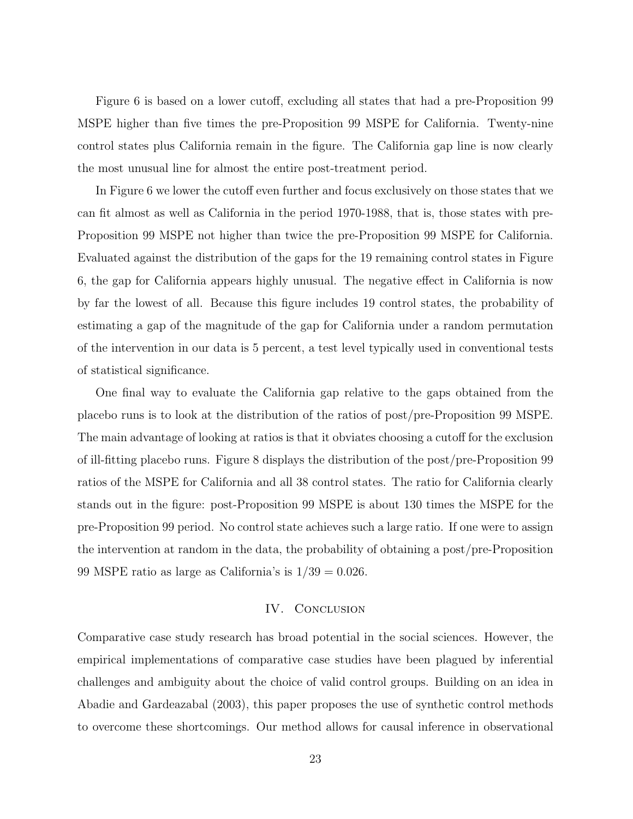Figure 6 is based on a lower cutoff, excluding all states that had a pre-Proposition 99 MSPE higher than five times the pre-Proposition 99 MSPE for California. Twenty-nine control states plus California remain in the figure. The California gap line is now clearly the most unusual line for almost the entire post-treatment period.

In Figure 6 we lower the cutoff even further and focus exclusively on those states that we can fit almost as well as California in the period 1970-1988, that is, those states with pre-Proposition 99 MSPE not higher than twice the pre-Proposition 99 MSPE for California. Evaluated against the distribution of the gaps for the 19 remaining control states in Figure 6, the gap for California appears highly unusual. The negative effect in California is now by far the lowest of all. Because this figure includes 19 control states, the probability of estimating a gap of the magnitude of the gap for California under a random permutation of the intervention in our data is 5 percent, a test level typically used in conventional tests of statistical significance.

One final way to evaluate the California gap relative to the gaps obtained from the placebo runs is to look at the distribution of the ratios of post/pre-Proposition 99 MSPE. The main advantage of looking at ratios is that it obviates choosing a cutoff for the exclusion of ill-fitting placebo runs. Figure 8 displays the distribution of the post/pre-Proposition 99 ratios of the MSPE for California and all 38 control states. The ratio for California clearly stands out in the figure: post-Proposition 99 MSPE is about 130 times the MSPE for the pre-Proposition 99 period. No control state achieves such a large ratio. If one were to assign the intervention at random in the data, the probability of obtaining a post/pre-Proposition 99 MSPE ratio as large as California's is  $1/39 = 0.026$ .

#### IV. CONCLUSION

Comparative case study research has broad potential in the social sciences. However, the empirical implementations of comparative case studies have been plagued by inferential challenges and ambiguity about the choice of valid control groups. Building on an idea in Abadie and Gardeazabal (2003), this paper proposes the use of synthetic control methods to overcome these shortcomings. Our method allows for causal inference in observational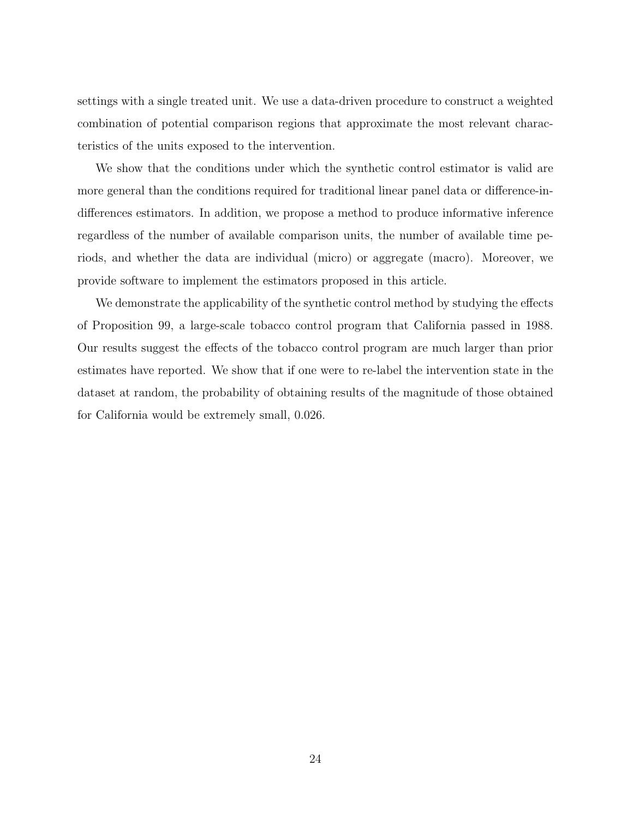settings with a single treated unit. We use a data-driven procedure to construct a weighted combination of potential comparison regions that approximate the most relevant characteristics of the units exposed to the intervention.

We show that the conditions under which the synthetic control estimator is valid are more general than the conditions required for traditional linear panel data or difference-indifferences estimators. In addition, we propose a method to produce informative inference regardless of the number of available comparison units, the number of available time periods, and whether the data are individual (micro) or aggregate (macro). Moreover, we provide software to implement the estimators proposed in this article.

We demonstrate the applicability of the synthetic control method by studying the effects of Proposition 99, a large-scale tobacco control program that California passed in 1988. Our results suggest the effects of the tobacco control program are much larger than prior estimates have reported. We show that if one were to re-label the intervention state in the dataset at random, the probability of obtaining results of the magnitude of those obtained for California would be extremely small, 0.026.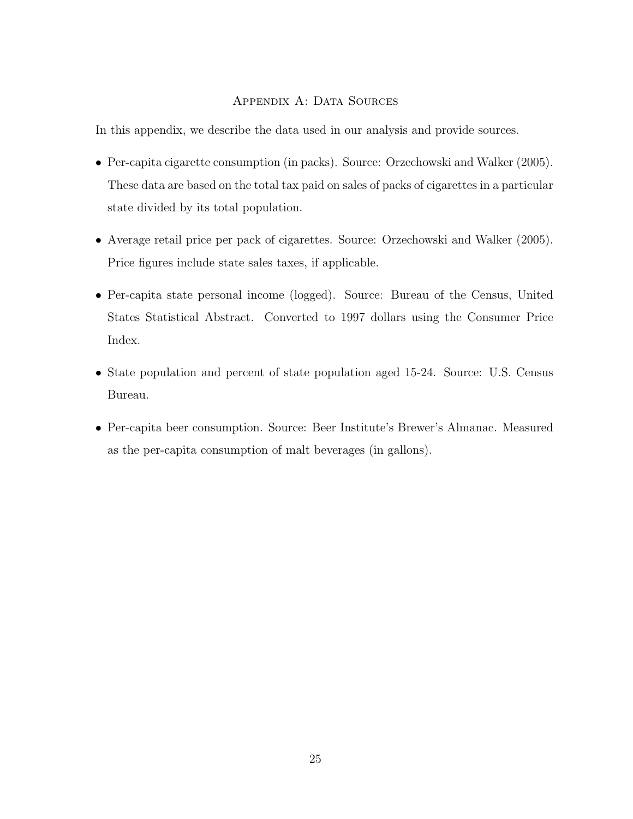## APPENDIX A: DATA SOURCES

In this appendix, we describe the data used in our analysis and provide sources.

- Per-capita cigarette consumption (in packs). Source: Orzechowski and Walker (2005). These data are based on the total tax paid on sales of packs of cigarettes in a particular state divided by its total population.
- Average retail price per pack of cigarettes. Source: Orzechowski and Walker (2005). Price figures include state sales taxes, if applicable.
- Per-capita state personal income (logged). Source: Bureau of the Census, United States Statistical Abstract. Converted to 1997 dollars using the Consumer Price Index.
- State population and percent of state population aged 15-24. Source: U.S. Census Bureau.
- Per-capita beer consumption. Source: Beer Institute's Brewer's Almanac. Measured as the per-capita consumption of malt beverages (in gallons).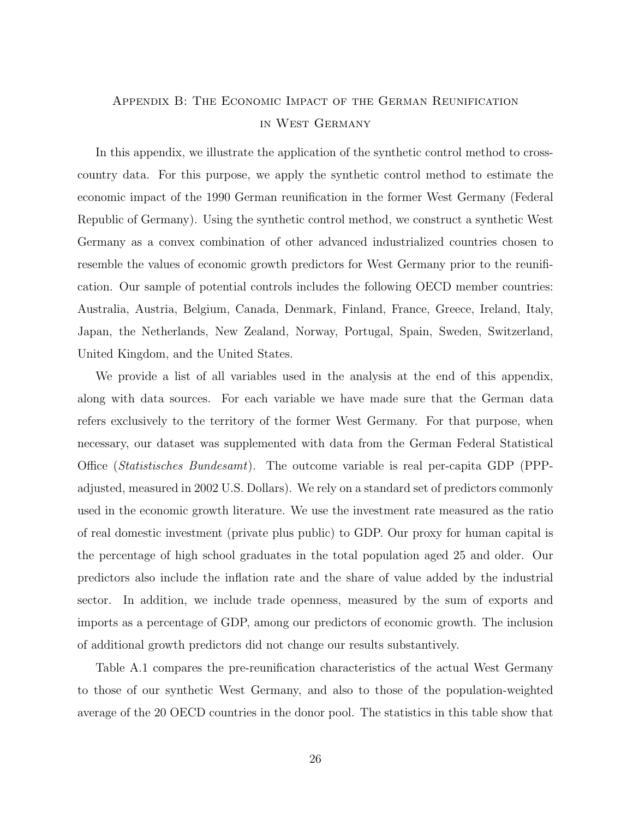# Appendix B: The Economic Impact of the German Reunification in West Germany

In this appendix, we illustrate the application of the synthetic control method to crosscountry data. For this purpose, we apply the synthetic control method to estimate the economic impact of the 1990 German reunification in the former West Germany (Federal Republic of Germany). Using the synthetic control method, we construct a synthetic West Germany as a convex combination of other advanced industrialized countries chosen to resemble the values of economic growth predictors for West Germany prior to the reunification. Our sample of potential controls includes the following OECD member countries: Australia, Austria, Belgium, Canada, Denmark, Finland, France, Greece, Ireland, Italy, Japan, the Netherlands, New Zealand, Norway, Portugal, Spain, Sweden, Switzerland, United Kingdom, and the United States.

We provide a list of all variables used in the analysis at the end of this appendix, along with data sources. For each variable we have made sure that the German data refers exclusively to the territory of the former West Germany. For that purpose, when necessary, our dataset was supplemented with data from the German Federal Statistical Office (Statistisches Bundesamt). The outcome variable is real per-capita GDP (PPPadjusted, measured in 2002 U.S. Dollars). We rely on a standard set of predictors commonly used in the economic growth literature. We use the investment rate measured as the ratio of real domestic investment (private plus public) to GDP. Our proxy for human capital is the percentage of high school graduates in the total population aged 25 and older. Our predictors also include the inflation rate and the share of value added by the industrial sector. In addition, we include trade openness, measured by the sum of exports and imports as a percentage of GDP, among our predictors of economic growth. The inclusion of additional growth predictors did not change our results substantively.

Table A.1 compares the pre-reunification characteristics of the actual West Germany to those of our synthetic West Germany, and also to those of the population-weighted average of the 20 OECD countries in the donor pool. The statistics in this table show that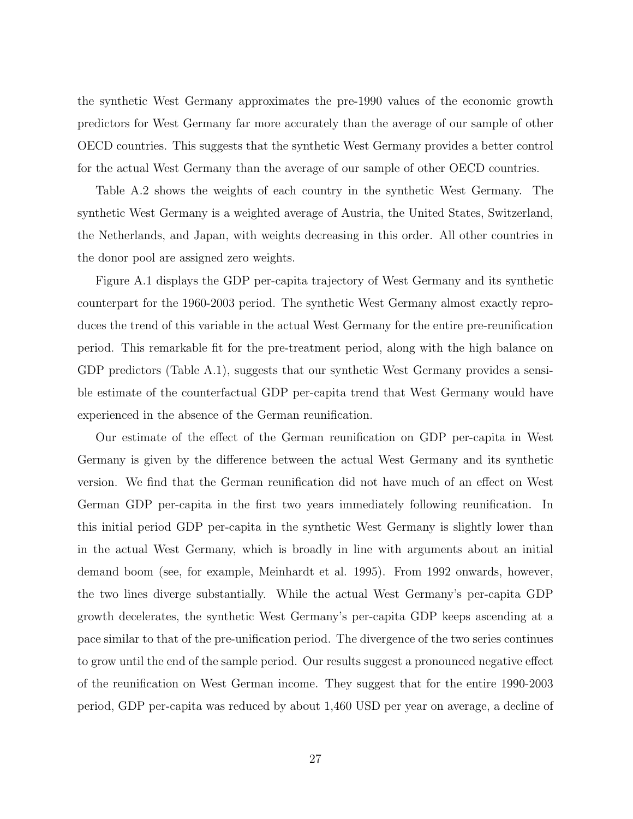the synthetic West Germany approximates the pre-1990 values of the economic growth predictors for West Germany far more accurately than the average of our sample of other OECD countries. This suggests that the synthetic West Germany provides a better control for the actual West Germany than the average of our sample of other OECD countries.

Table A.2 shows the weights of each country in the synthetic West Germany. The synthetic West Germany is a weighted average of Austria, the United States, Switzerland, the Netherlands, and Japan, with weights decreasing in this order. All other countries in the donor pool are assigned zero weights.

Figure A.1 displays the GDP per-capita trajectory of West Germany and its synthetic counterpart for the 1960-2003 period. The synthetic West Germany almost exactly reproduces the trend of this variable in the actual West Germany for the entire pre-reunification period. This remarkable fit for the pre-treatment period, along with the high balance on GDP predictors (Table A.1), suggests that our synthetic West Germany provides a sensible estimate of the counterfactual GDP per-capita trend that West Germany would have experienced in the absence of the German reunification.

Our estimate of the effect of the German reunification on GDP per-capita in West Germany is given by the difference between the actual West Germany and its synthetic version. We find that the German reunification did not have much of an effect on West German GDP per-capita in the first two years immediately following reunification. In this initial period GDP per-capita in the synthetic West Germany is slightly lower than in the actual West Germany, which is broadly in line with arguments about an initial demand boom (see, for example, Meinhardt et al. 1995). From 1992 onwards, however, the two lines diverge substantially. While the actual West Germany's per-capita GDP growth decelerates, the synthetic West Germany's per-capita GDP keeps ascending at a pace similar to that of the pre-unification period. The divergence of the two series continues to grow until the end of the sample period. Our results suggest a pronounced negative effect of the reunification on West German income. They suggest that for the entire 1990-2003 period, GDP per-capita was reduced by about 1,460 USD per year on average, a decline of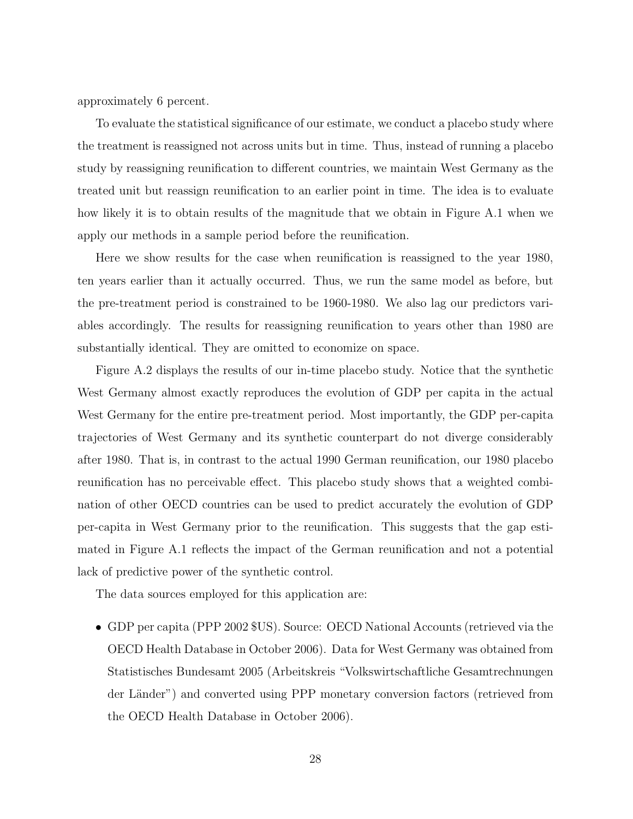approximately 6 percent.

To evaluate the statistical significance of our estimate, we conduct a placebo study where the treatment is reassigned not across units but in time. Thus, instead of running a placebo study by reassigning reunification to different countries, we maintain West Germany as the treated unit but reassign reunification to an earlier point in time. The idea is to evaluate how likely it is to obtain results of the magnitude that we obtain in Figure A.1 when we apply our methods in a sample period before the reunification.

Here we show results for the case when reunification is reassigned to the year 1980, ten years earlier than it actually occurred. Thus, we run the same model as before, but the pre-treatment period is constrained to be 1960-1980. We also lag our predictors variables accordingly. The results for reassigning reunification to years other than 1980 are substantially identical. They are omitted to economize on space.

Figure A.2 displays the results of our in-time placebo study. Notice that the synthetic West Germany almost exactly reproduces the evolution of GDP per capita in the actual West Germany for the entire pre-treatment period. Most importantly, the GDP per-capita trajectories of West Germany and its synthetic counterpart do not diverge considerably after 1980. That is, in contrast to the actual 1990 German reunification, our 1980 placebo reunification has no perceivable effect. This placebo study shows that a weighted combination of other OECD countries can be used to predict accurately the evolution of GDP per-capita in West Germany prior to the reunification. This suggests that the gap estimated in Figure A.1 reflects the impact of the German reunification and not a potential lack of predictive power of the synthetic control.

The data sources employed for this application are:

• GDP per capita (PPP 2002 \$US). Source: OECD National Accounts (retrieved via the OECD Health Database in October 2006). Data for West Germany was obtained from Statistisches Bundesamt 2005 (Arbeitskreis "Volkswirtschaftliche Gesamtrechnungen der Länder") and converted using PPP monetary conversion factors (retrieved from the OECD Health Database in October 2006).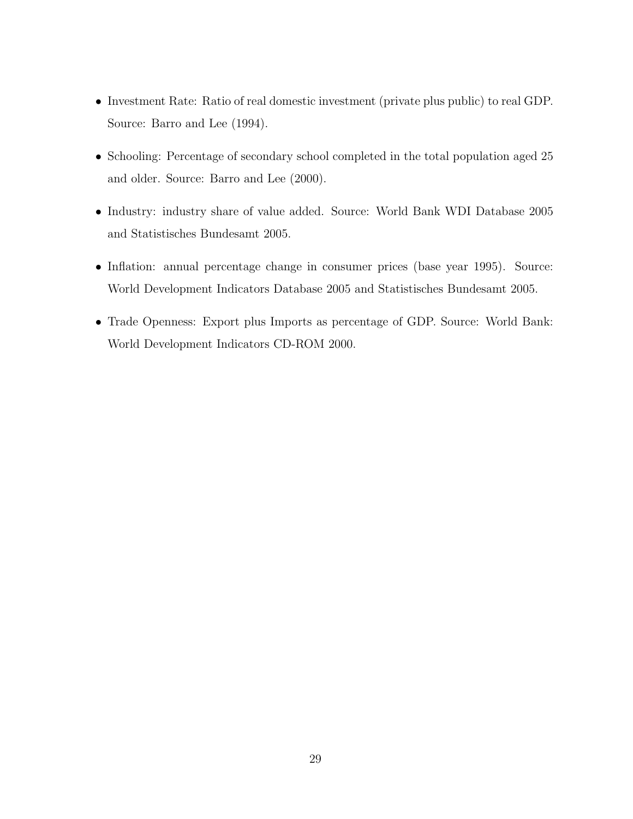- Investment Rate: Ratio of real domestic investment (private plus public) to real GDP. Source: Barro and Lee  $(1994)$ .
- Schooling: Percentage of secondary school completed in the total population aged 25 and older. Source: Barro and Lee (2000).
- Industry: industry share of value added. Source: World Bank WDI Database 2005 and Statistisches Bundesamt 2005.
- Inflation: annual percentage change in consumer prices (base year 1995). Source: World Development Indicators Database 2005 and Statistisches Bundesamt 2005.
- Trade Openness: Export plus Imports as percentage of GDP. Source: World Bank: World Development Indicators CD-ROM 2000.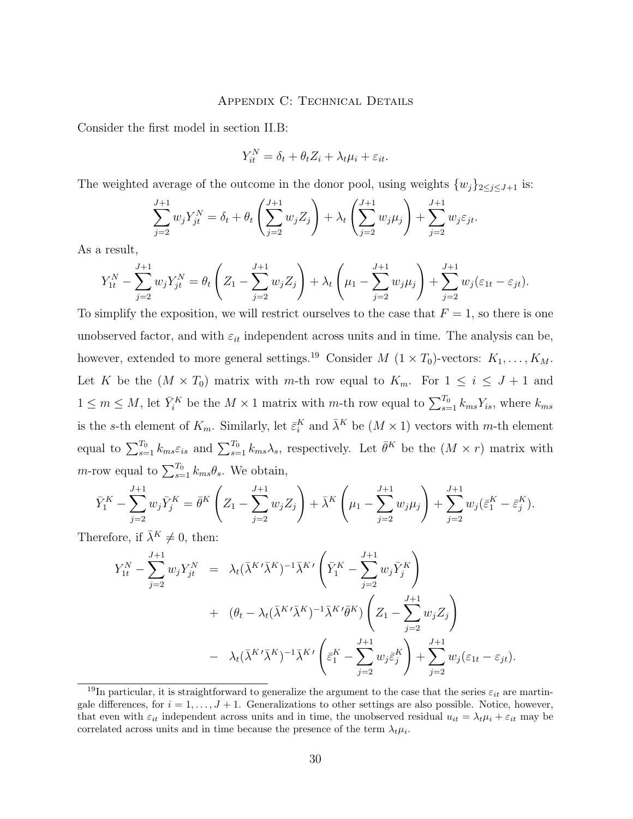### APPENDIX C: TECHNICAL DETAILS

Consider the first model in section II.B:

$$
Y_{it}^N = \delta_t + \theta_t Z_i + \lambda_t \mu_i + \varepsilon_{it}.
$$

The weighted average of the outcome in the donor pool, using weights  $\{w_j\}_{2\leq j\leq J+1}$  is:

$$
\sum_{j=2}^{J+1} w_j Y_{jt}^N = \delta_t + \theta_t \left( \sum_{j=2}^{J+1} w_j Z_j \right) + \lambda_t \left( \sum_{j=2}^{J+1} w_j \mu_j \right) + \sum_{j=2}^{J+1} w_j \varepsilon_{jt}.
$$

As a result,

$$
Y_{1t}^{N} - \sum_{j=2}^{J+1} w_{j} Y_{jt}^{N} = \theta_{t} \left( Z_{1} - \sum_{j=2}^{J+1} w_{j} Z_{j} \right) + \lambda_{t} \left( \mu_{1} - \sum_{j=2}^{J+1} w_{j} \mu_{j} \right) + \sum_{j=2}^{J+1} w_{j} (\varepsilon_{1t} - \varepsilon_{jt}).
$$

To simplify the exposition, we will restrict ourselves to the case that  $F = 1$ , so there is one unobserved factor, and with  $\varepsilon_{it}$  independent across units and in time. The analysis can be, however, extended to more general settings.<sup>19</sup> Consider  $M$  ( $1 \times T_0$ )-vectors:  $K_1, \ldots, K_M$ . Let K be the  $(M \times T_0)$  matrix with m-th row equal to  $K_m$ . For  $1 \leq i \leq J+1$  and  $1 \leq m \leq M$ , let  $\bar{Y}_i^K$  be the  $M \times 1$  matrix with m-th row equal to  $\sum_{s=1}^{T_0} k_{ms} Y_{is}$ , where  $k_{ms}$ is the s-th element of  $K_m$ . Similarly, let  $\bar{\varepsilon}_i^K$  and  $\bar{\lambda}^K$  be  $(M \times 1)$  vectors with m-th element equal to  $\sum_{s=1}^{T_0} k_{ms} \varepsilon_{is}$  and  $\sum_{s=1}^{T_0} k_{ms} \lambda_s$ , respectively. Let  $\bar{\theta}^K$  be the  $(M \times r)$  matrix with m-row equal to  $\sum_{s=1}^{T_0} k_{ms}\theta_s$ . We obtain,

$$
\bar{Y}_1^K - \sum_{j=2}^{J+1} w_j \bar{Y}_j^K = \bar{\theta}^K \left( Z_1 - \sum_{j=2}^{J+1} w_j Z_j \right) + \bar{\lambda}^K \left( \mu_1 - \sum_{j=2}^{J+1} w_j \mu_j \right) + \sum_{j=2}^{J+1} w_j (\bar{\varepsilon}_1^K - \bar{\varepsilon}_j^K).
$$

Therefore, if  $\lambda^k \neq 0$ , then:

$$
Y_{1t}^{N} - \sum_{j=2}^{J+1} w_{j} Y_{jt}^{N} = \lambda_{t} (\bar{\lambda}^{K} \bar{\lambda}^{K})^{-1} \bar{\lambda}^{K} \left( \bar{Y}_{1}^{K} - \sum_{j=2}^{J+1} w_{j} \bar{Y}_{j}^{K} \right)
$$
  
+ 
$$
(\theta_{t} - \lambda_{t} (\bar{\lambda}^{K} \bar{\lambda}^{K})^{-1} \bar{\lambda}^{K} \bar{\theta}^{K}) \left( Z_{1} - \sum_{j=2}^{J+1} w_{j} Z_{j} \right)
$$

$$
- \lambda_{t} (\bar{\lambda}^{K} \bar{\lambda}^{K})^{-1} \bar{\lambda}^{K} \left( \bar{\varepsilon}_{1}^{K} - \sum_{j=2}^{J+1} w_{j} \bar{\varepsilon}_{j}^{K} \right) + \sum_{j=2}^{J+1} w_{j} (\varepsilon_{1t} - \varepsilon_{jt}).
$$

<sup>&</sup>lt;sup>19</sup>In particular, it is straightforward to generalize the argument to the case that the series  $\varepsilon_{it}$  are martingale differences, for  $i = 1, \ldots, J + 1$ . Generalizations to other settings are also possible. Notice, however, that even with  $\varepsilon_{it}$  independent across units and in time, the unobserved residual  $u_{it} = \lambda_t \mu_i + \varepsilon_{it}$  may be correlated across units and in time because the presence of the term  $\lambda_t \mu_i$ .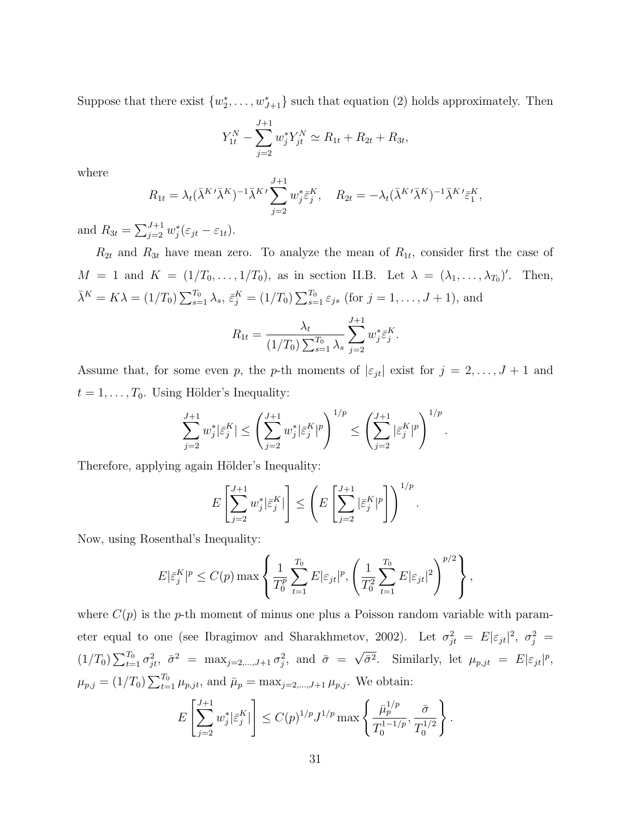Suppose that there exist  $\{w_2^*, \ldots, w_{J+1}^*\}$  such that equation (2) holds approximately. Then

$$
Y_{1t}^N - \sum_{j=2}^{J+1} w_j^* Y_{jt}^N \simeq R_{1t} + R_{2t} + R_{3t},
$$

where

$$
R_{1t} = \lambda_t (\bar{\lambda}^{K'} \bar{\lambda}^{K})^{-1} \bar{\lambda}^{K'} \sum_{j=2}^{J+1} w_j^* \bar{\varepsilon}_j^K, \quad R_{2t} = -\lambda_t (\bar{\lambda}^{K'} \bar{\lambda}^{K})^{-1} \bar{\lambda}^{K'} \bar{\varepsilon}_1^K,
$$

and  $R_{3t} = \sum_{i=2}^{J+1}$  $j=1 \atop j=2} w_j^* (\varepsilon_{jt} - \varepsilon_{1t}).$ 

 $R_{2t}$  and  $R_{3t}$  have mean zero. To analyze the mean of  $R_{1t}$ , consider first the case of  $M = 1$  and  $K = (1/T_0, \ldots, 1/T_0)$ , as in section II.B. Let  $\lambda = (\lambda_1, \ldots, \lambda_{T_0})'$ . Then,  $\bar{\lambda}^K = K\lambda = (1/T_0) \sum_{s=1}^{T_0}$  $_{s=1}^{T_0}\lambda_s, \, \bar{\varepsilon}_j^K=(1/T_0)$  $\overline{\nabla^T}$  $s=1}^{T_0} \varepsilon_{js}$  (for  $j=1,\ldots,J+1$ ), and

$$
R_{1t} = \frac{\lambda_t}{(1/T_0) \sum_{s=1}^{T_0} \lambda_s} \sum_{j=2}^{J+1} w_j^* \bar{\varepsilon}_j^K.
$$

Assume that, for some even p, the p-th moments of  $|\varepsilon_{jt}|$  exist for  $j = 2, \ldots, J + 1$  and  $t = 1, \ldots, T_0$ . Using Hölder's Inequality:

$$
\sum_{j=2}^{J+1}w_j^*|\bar{\varepsilon}_j^K|\leq \left(\sum_{j=2}^{J+1}w_j^*|\bar{\varepsilon}_j^K|^p\right)^{1/p}\leq \left(\sum_{j=2}^{J+1}|\bar{\varepsilon}_j^K|^p\right)^{1/p}
$$

.

Therefore, applying again Hölder's Inequality:

$$
E\left[\sum_{j=2}^{J+1} w_j^* \big|\tilde{\varepsilon}_j^K\big|\right] \leq \left(E\left[\sum_{j=2}^{J+1} \big|\tilde{\varepsilon}_j^K\big|^p\right]\right)^{1/p}.
$$

Now, using Rosenthal's Inequality:

$$
E|\bar{\varepsilon}_j^K|^p \le C(p) \max\left\{\frac{1}{T_0^p} \sum_{t=1}^{T_0} E|\varepsilon_{jt}|^p, \left(\frac{1}{T_0^2} \sum_{t=1}^{T_0} E|\varepsilon_{jt}|^2\right)^{p/2}\right\},\,
$$

where  $C(p)$  is the p-th moment of minus one plus a Poisson random variable with parameter equal to one (see Ibragimov and Sharakhmetov, 2002). Let  $\sigma_{jt}^2 = E|\varepsilon_{jt}|^2$ ,  $\sigma_j^2 =$  $(1/T_0) \sum_{t=1}^{T_0}$  $\sigma_{1}^{T_0} \sigma_{jt}^2$ ,  $\bar{\sigma}^2 = \max_{j=2,\dots,J+1} \sigma_j^2$ , and  $\bar{\sigma} =$ √  $\overline{\overline{\sigma}^2}$ . Similarly, let  $\mu_{p,jt} = E|\varepsilon_{jt}|^p$ ,  $\mu_{p,j} = (1/T_0) \sum_{t=1}^{T_0}$  $\bar{\mu}_{t=1}^{T_0} \mu_{p,jt}$ , and  $\bar{\mu}_p = \max_{j=2,\dots,J+1} \mu_{p,j}$ . We obtain:

$$
E\left[\sum_{j=2}^{J+1} w_j^* |\bar{\varepsilon}_j^K| \right] \le C(p)^{1/p} J^{1/p} \max\left\{ \frac{\bar{\mu}_p^{1/p}}{T_0^{1-1/p}}, \frac{\bar{\sigma}}{T_0^{1/2}} \right\}.
$$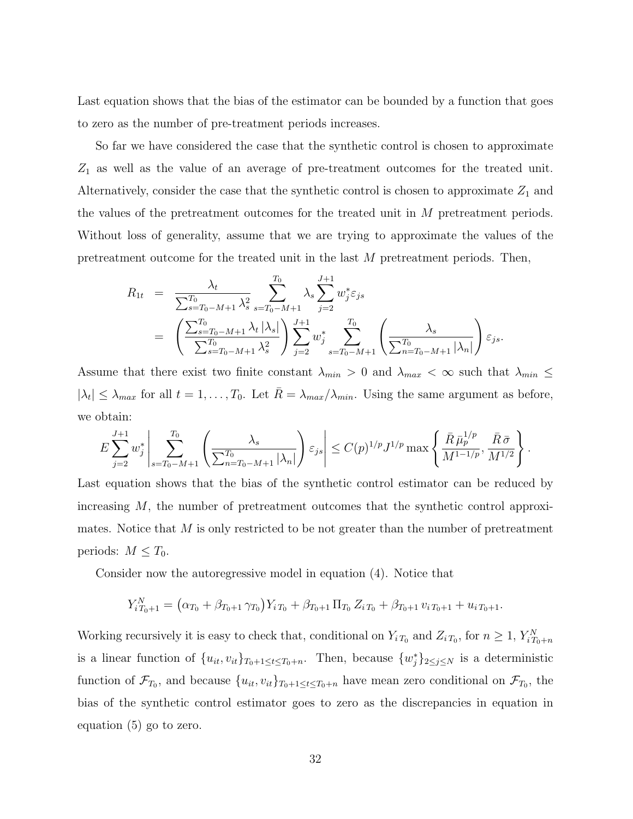Last equation shows that the bias of the estimator can be bounded by a function that goes to zero as the number of pre-treatment periods increases.

So far we have considered the case that the synthetic control is chosen to approximate  $Z_1$  as well as the value of an average of pre-treatment outcomes for the treated unit. Alternatively, consider the case that the synthetic control is chosen to approximate  $Z_1$  and the values of the pretreatment outcomes for the treated unit in M pretreatment periods. Without loss of generality, assume that we are trying to approximate the values of the pretreatment outcome for the treated unit in the last M pretreatment periods. Then,

$$
R_{1t} = \frac{\lambda_t}{\sum_{s=T_0-M+1}^{T_0} \lambda_s^2} \sum_{s=T_0-M+1}^{T_0} \lambda_s \sum_{j=2}^{J+1} w_j^* \varepsilon_{js}
$$
  
= 
$$
\left( \frac{\sum_{s=T_0-M+1}^{T_0} \lambda_t |\lambda_s|}{\sum_{s=T_0-M+1}^{T_0} \lambda_s^2} \right) \sum_{j=2}^{J+1} w_j^* \sum_{s=T_0-M+1}^{T_0} \left( \frac{\lambda_s}{\sum_{n=T_0-M+1}^{T_0} |\lambda_n|} \right) \varepsilon_{js}.
$$

Assume that there exist two finite constant  $\lambda_{min} > 0$  and  $\lambda_{max} < \infty$  such that  $\lambda_{min} \leq$  $|\lambda_t| \leq \lambda_{max}$  for all  $t = 1, \ldots, T_0$ . Let  $\bar{R} = \lambda_{max}/\lambda_{min}$ . Using the same argument as before, we obtain:

$$
E\sum_{j=2}^{J+1} w_j^* \left| \sum_{s=T_0-M+1}^{T_0} \left( \frac{\lambda_s}{\sum_{n=T_0-M+1}^{T_0} |\lambda_n|} \right) \varepsilon_{js} \right| \le C(p)^{1/p} J^{1/p} \max \left\{ \frac{\bar{R} \bar{\mu}_p^{1/p}}{M^{1-1/p}}, \frac{\bar{R} \bar{\sigma}}{M^{1/2}} \right\}.
$$

Last equation shows that the bias of the synthetic control estimator can be reduced by increasing M, the number of pretreatment outcomes that the synthetic control approximates. Notice that  $M$  is only restricted to be not greater than the number of pretreatment periods:  $M \leq T_0$ .

Consider now the autoregressive model in equation (4). Notice that

$$
Y_{i T_0 + 1}^N = (\alpha_{T_0} + \beta_{T_0 + 1} \gamma_{T_0}) Y_{i T_0} + \beta_{T_0 + 1} \Pi_{T_0} Z_{i T_0} + \beta_{T_0 + 1} v_{i T_0 + 1} + u_{i T_0 + 1}.
$$

Working recursively it is easy to check that, conditional on  $Y_i_{T_0}$  and  $Z_i_{T_0}$ , for  $n \geq 1$ ,  $Y_{iT_0+n}^N$ is a linear function of  $\{u_{it}, v_{it}\}_{T_0+1 \leq t \leq T_0+n}$ . Then, because  $\{w_j^*\}_{2 \leq j \leq N}$  is a deterministic function of  $\mathcal{F}_{T_0}$ , and because  $\{u_{it}, v_{it}\}_{T_0+1 \leq t \leq T_0+n}$  have mean zero conditional on  $\mathcal{F}_{T_0}$ , the bias of the synthetic control estimator goes to zero as the discrepancies in equation in equation (5) go to zero.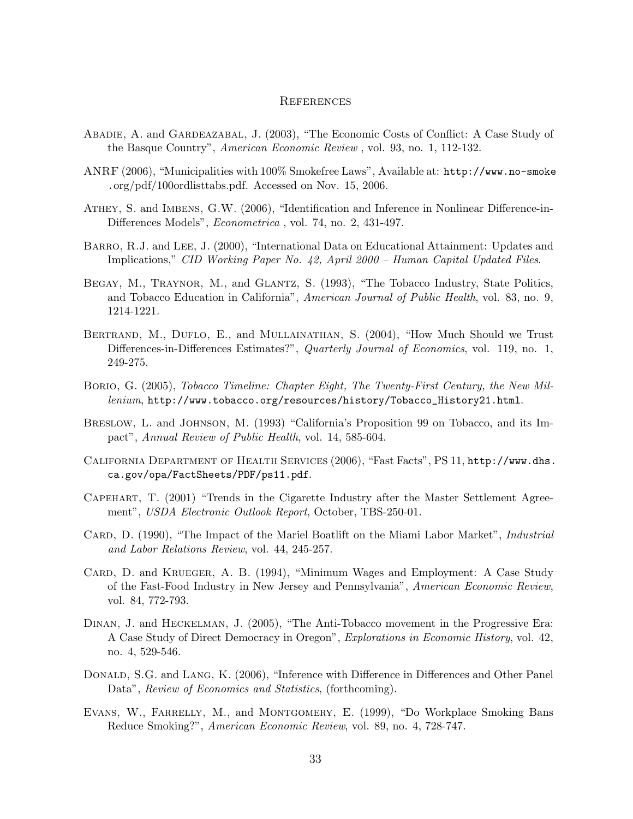#### **REFERENCES**

- Abadie, A. and Gardeazabal, J. (2003), "The Economic Costs of Conflict: A Case Study of the Basque Country", American Economic Review , vol. 93, no. 1, 112-132.
- ANRF (2006), "Municipalities with 100% Smokefree Laws", Available at: http://www.no-smoke .org/pdf/100ordlisttabs.pdf. Accessed on Nov. 15, 2006.
- Athey, S. and Imbens, G.W. (2006), "Identification and Inference in Nonlinear Difference-in-Differences Models", Econometrica , vol. 74, no. 2, 431-497.
- Barro, R.J. and Lee, J. (2000), "International Data on Educational Attainment: Updates and Implications," CID Working Paper No. 42, April 2000 – Human Capital Updated Files.
- Begay, M., Traynor, M., and Glantz, S. (1993), "The Tobacco Industry, State Politics, and Tobacco Education in California", American Journal of Public Health, vol. 83, no. 9, 1214-1221.
- BERTRAND, M., DUFLO, E., and MULLAINATHAN, S. (2004), "How Much Should we Trust Differences-in-Differences Estimates?", Quarterly Journal of Economics, vol. 119, no. 1, 249-275.
- Borio, G. (2005), Tobacco Timeline: Chapter Eight, The Twenty-First Century, the New Millenium, http://www.tobacco.org/resources/history/Tobacco\_History21.html.
- Breslow, L. and Johnson, M. (1993) "California's Proposition 99 on Tobacco, and its Impact", Annual Review of Public Health, vol. 14, 585-604.
- California Department of Health Services (2006), "Fast Facts", PS 11, http://www.dhs. ca.gov/opa/FactSheets/PDF/ps11.pdf.
- Capehart, T. (2001) "Trends in the Cigarette Industry after the Master Settlement Agreement", USDA Electronic Outlook Report, October, TBS-250-01.
- CARD, D. (1990), "The Impact of the Mariel Boatlift on the Miami Labor Market", *Industrial* and Labor Relations Review, vol. 44, 245-257.
- CARD, D. and KRUEGER, A. B. (1994), "Minimum Wages and Employment: A Case Study of the Fast-Food Industry in New Jersey and Pennsylvania", American Economic Review, vol. 84, 772-793.
- Dinan, J. and Heckelman, J. (2005), "The Anti-Tobacco movement in the Progressive Era: A Case Study of Direct Democracy in Oregon", Explorations in Economic History, vol. 42, no. 4, 529-546.
- DONALD, S.G. and LANG, K. (2006), "Inference with Difference in Differences and Other Panel Data", *Review of Economics and Statistics*, (forthcoming).
- Evans, W., Farrelly, M., and Montgomery, E. (1999), "Do Workplace Smoking Bans Reduce Smoking?", American Economic Review, vol. 89, no. 4, 728-747.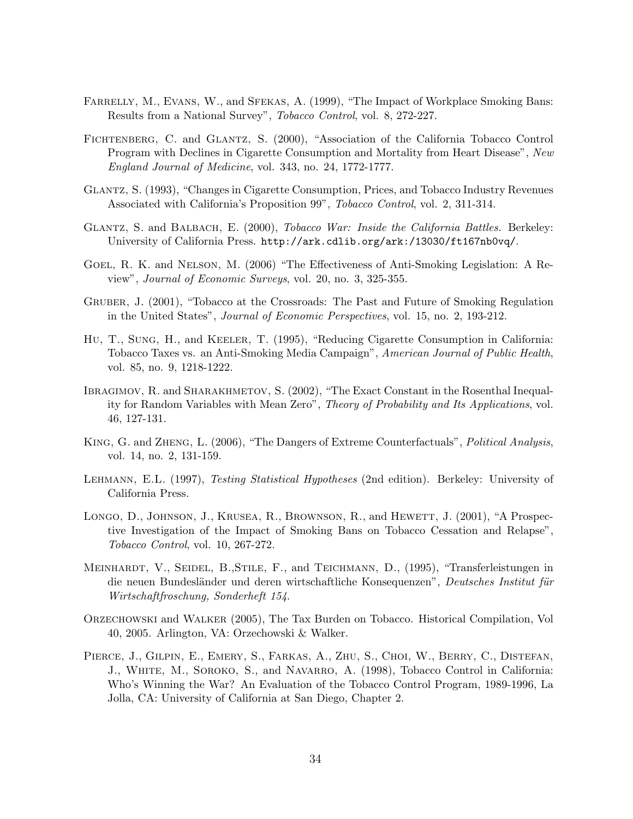- FARRELLY, M., EVANS, W., and SFEKAS, A. (1999), "The Impact of Workplace Smoking Bans: Results from a National Survey", Tobacco Control, vol. 8, 272-227.
- Fichtenberg, C. and Glantz, S. (2000), "Association of the California Tobacco Control Program with Declines in Cigarette Consumption and Mortality from Heart Disease", New England Journal of Medicine, vol. 343, no. 24, 1772-1777.
- Glantz, S. (1993), "Changes in Cigarette Consumption, Prices, and Tobacco Industry Revenues Associated with California's Proposition 99", Tobacco Control, vol. 2, 311-314.
- GLANTZ, S. and BALBACH, E. (2000), Tobacco War: Inside the California Battles. Berkeley: University of California Press. http://ark.cdlib.org/ark:/13030/ft167nb0vq/.
- Goel, R. K. and Nelson, M. (2006) "The Effectiveness of Anti-Smoking Legislation: A Review", Journal of Economic Surveys, vol. 20, no. 3, 325-355.
- Gruber, J. (2001), "Tobacco at the Crossroads: The Past and Future of Smoking Regulation in the United States", Journal of Economic Perspectives, vol. 15, no. 2, 193-212.
- Hu, T., Sung, H., and Keeler, T. (1995), "Reducing Cigarette Consumption in California: Tobacco Taxes vs. an Anti-Smoking Media Campaign", American Journal of Public Health, vol. 85, no. 9, 1218-1222.
- IBRAGIMOV, R. and SHARAKHMETOV, S. (2002), "The Exact Constant in the Rosenthal Inequality for Random Variables with Mean Zero", Theory of Probability and Its Applications, vol. 46, 127-131.
- King, G. and Zheng, L. (2006), "The Dangers of Extreme Counterfactuals", Political Analysis, vol. 14, no. 2, 131-159.
- Lehmann, E.L. (1997), Testing Statistical Hypotheses (2nd edition). Berkeley: University of California Press.
- LONGO, D., JOHNSON, J., KRUSEA, R., BROWNSON, R., and HEWETT, J. (2001), "A Prospective Investigation of the Impact of Smoking Bans on Tobacco Cessation and Relapse", Tobacco Control, vol. 10, 267-272.
- MEINHARDT, V., SEIDEL, B.,STILE, F., and TEICHMANN, D., (1995), "Transferleistungen in die neuen Bundesländer und deren wirtschaftliche Konsequenzen", Deutsches Institut für Wirtschaftfroschung, Sonderheft 154.
- Orzechowski and Walker (2005), The Tax Burden on Tobacco. Historical Compilation, Vol 40, 2005. Arlington, VA: Orzechowski & Walker.
- PIERCE, J., GILPIN, E., EMERY, S., FARKAS, A., ZHU, S., CHOI, W., BERRY, C., DISTEFAN, J., White, M., Soroko, S., and Navarro, A. (1998), Tobacco Control in California: Who's Winning the War? An Evaluation of the Tobacco Control Program, 1989-1996, La Jolla, CA: University of California at San Diego, Chapter 2.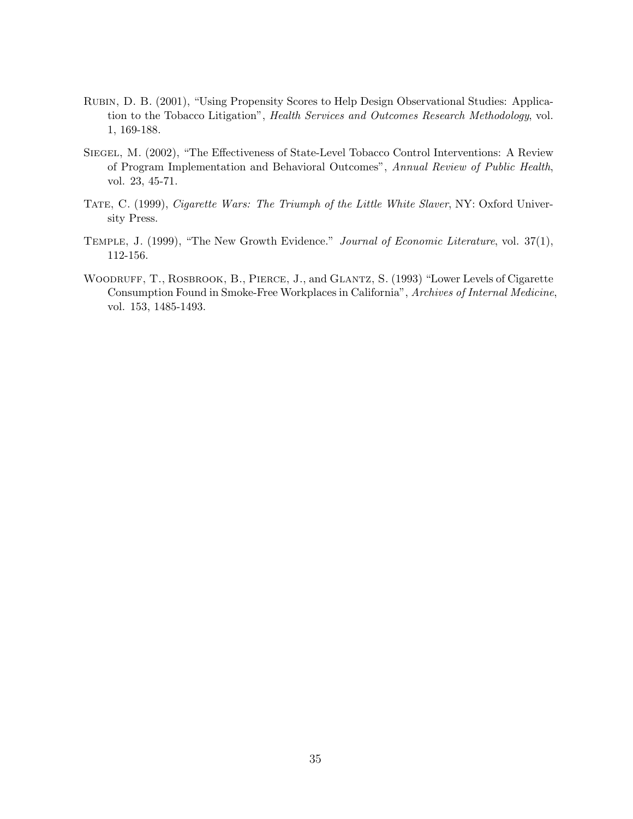- Rubin, D. B. (2001), "Using Propensity Scores to Help Design Observational Studies: Application to the Tobacco Litigation", Health Services and Outcomes Research Methodology, vol. 1, 169-188.
- SIEGEL, M. (2002), "The Effectiveness of State-Level Tobacco Control Interventions: A Review of Program Implementation and Behavioral Outcomes", Annual Review of Public Health, vol. 23, 45-71.
- TATE, C. (1999), Cigarette Wars: The Triumph of the Little White Slaver, NY: Oxford University Press.
- Temple, J. (1999), "The New Growth Evidence." Journal of Economic Literature, vol. 37(1), 112-156.
- WOODRUFF, T., ROSBROOK, B., PIERCE, J., and GLANTZ, S. (1993) "Lower Levels of Cigarette Consumption Found in Smoke-Free Workplaces in California", Archives of Internal Medicine, vol. 153, 1485-1493.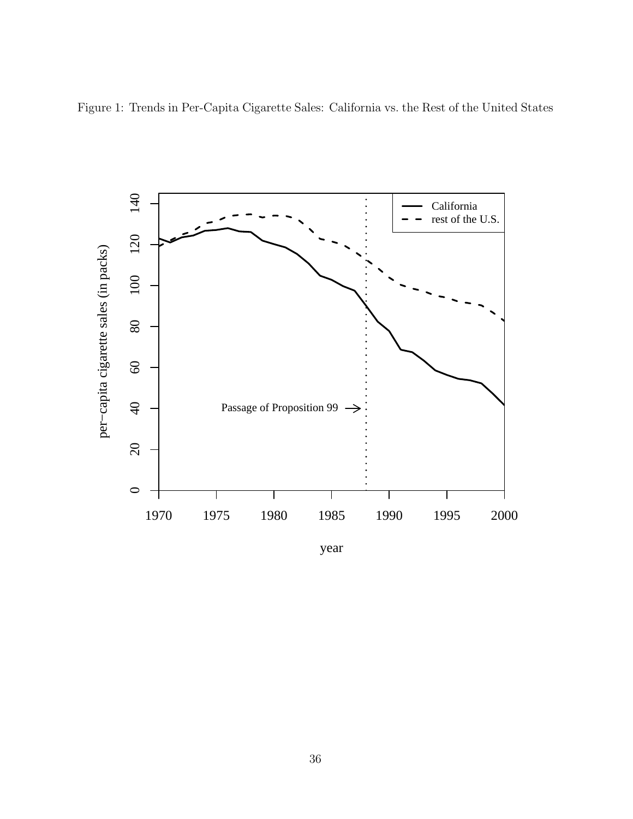

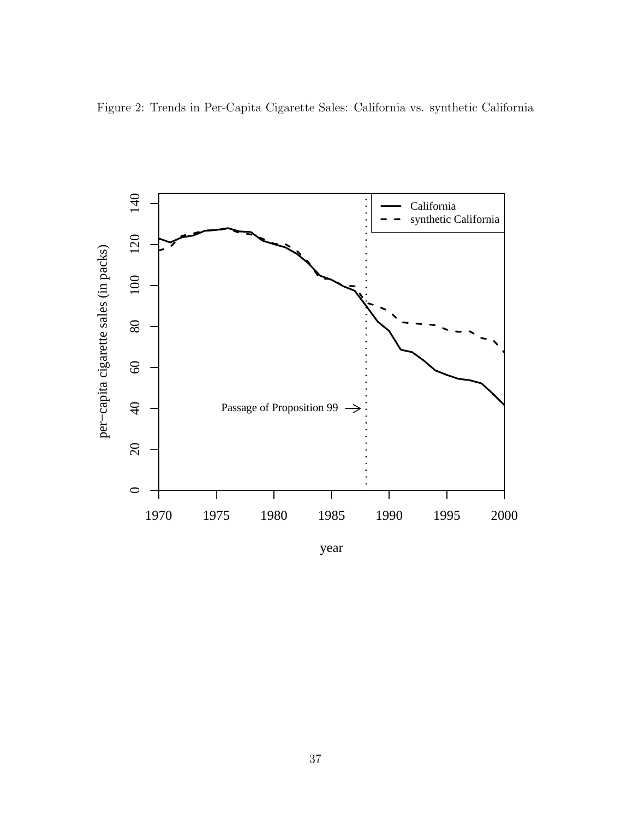

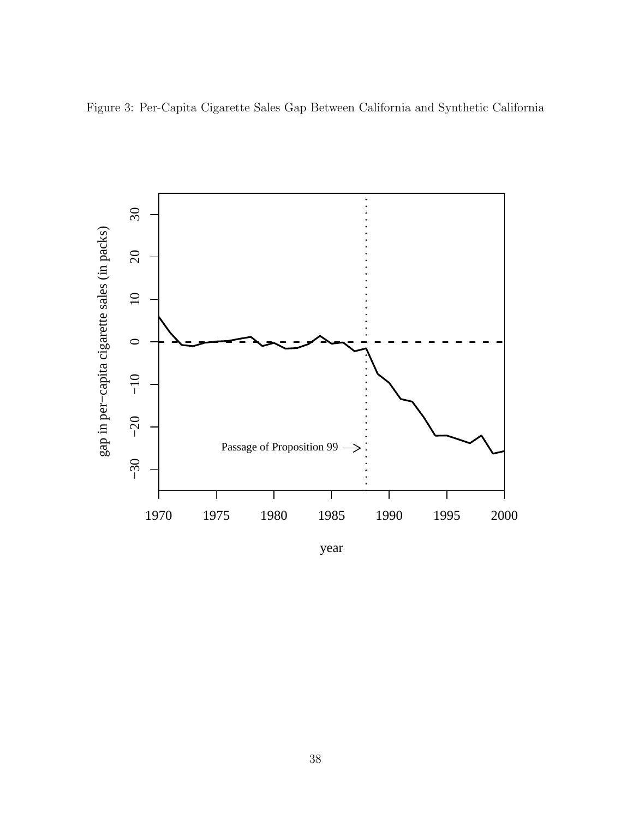

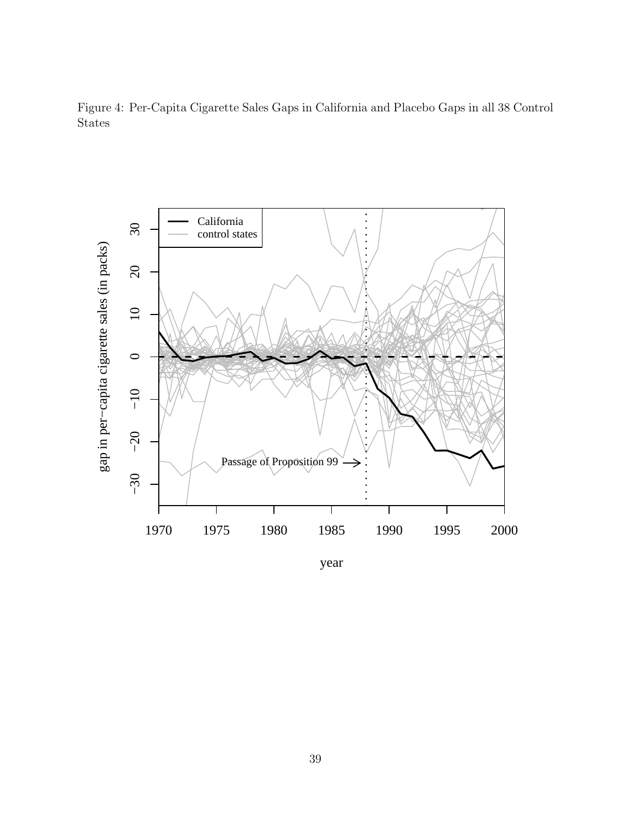Figure 4: Per-Capita Cigarette Sales Gaps in California and Placebo Gaps in all 38 Control States

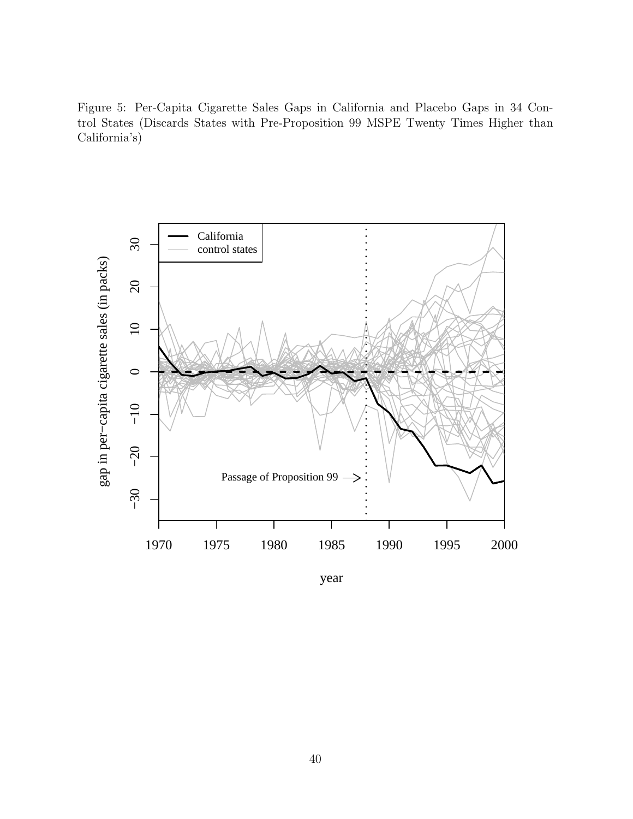Figure 5: Per-Capita Cigarette Sales Gaps in California and Placebo Gaps in 34 Control States (Discards States with Pre-Proposition 99 MSPE Twenty Times Higher than California's)



year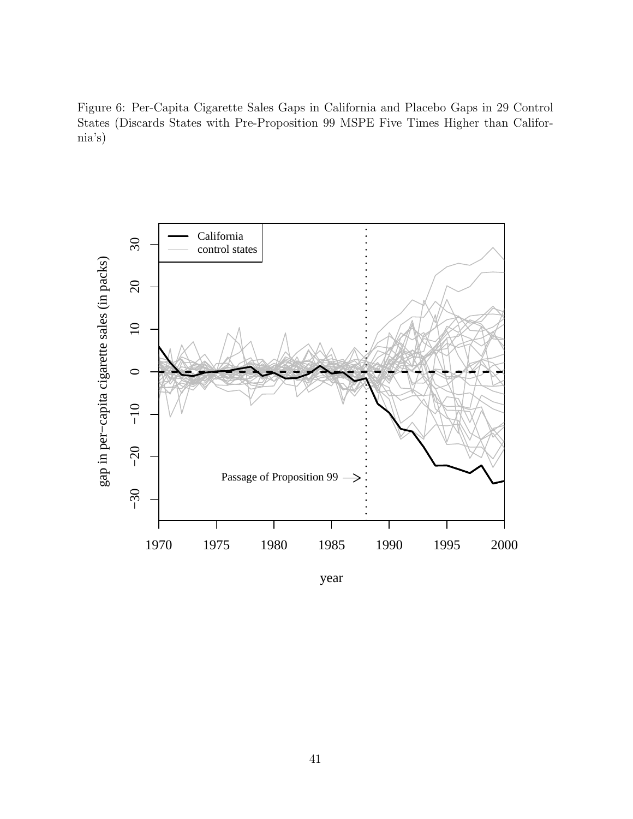Figure 6: Per-Capita Cigarette Sales Gaps in California and Placebo Gaps in 29 Control States (Discards States with Pre-Proposition 99 MSPE Five Times Higher than California's)



year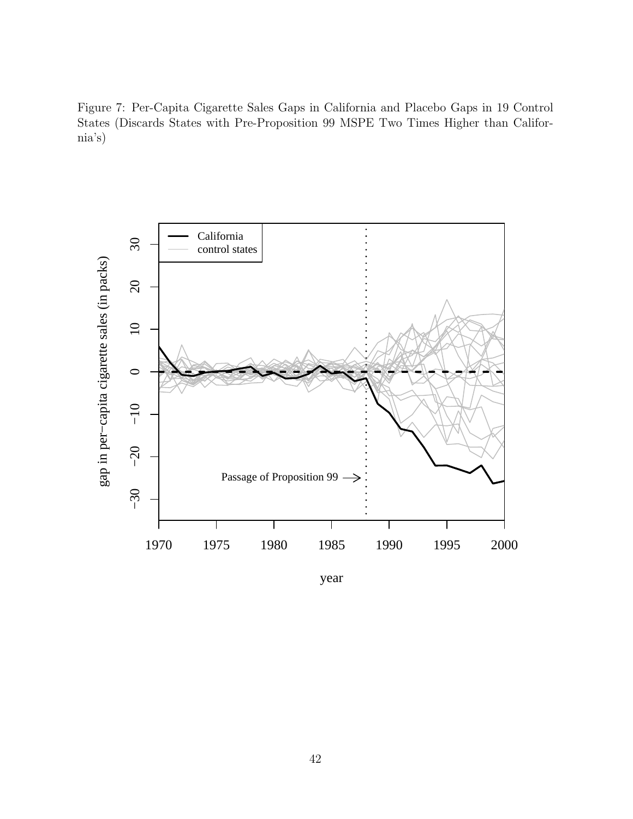Figure 7: Per-Capita Cigarette Sales Gaps in California and Placebo Gaps in 19 Control States (Discards States with Pre-Proposition 99 MSPE Two Times Higher than California's)



year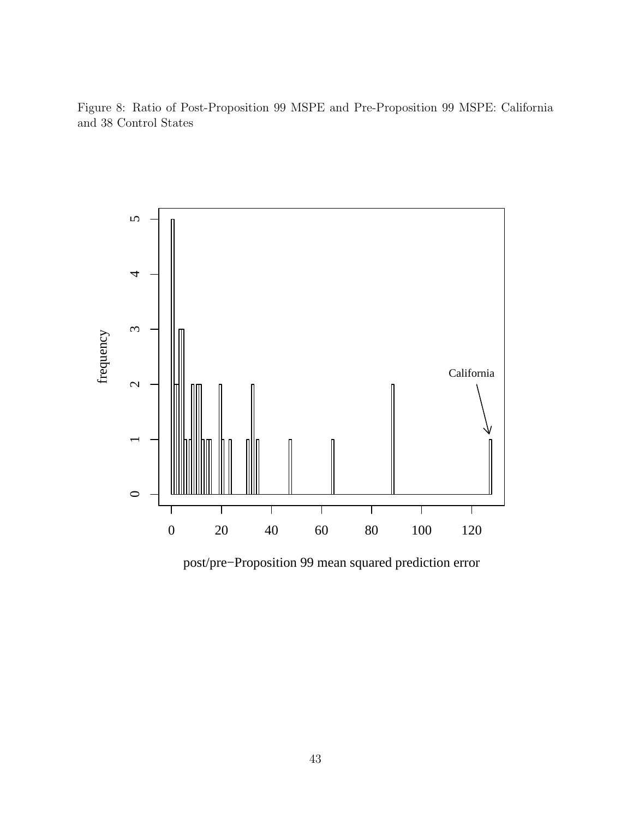Figure 8: Ratio of Post-Proposition 99 MSPE and Pre-Proposition 99 MSPE: California and 38 Control States



post/pre−Proposition 99 mean squared prediction error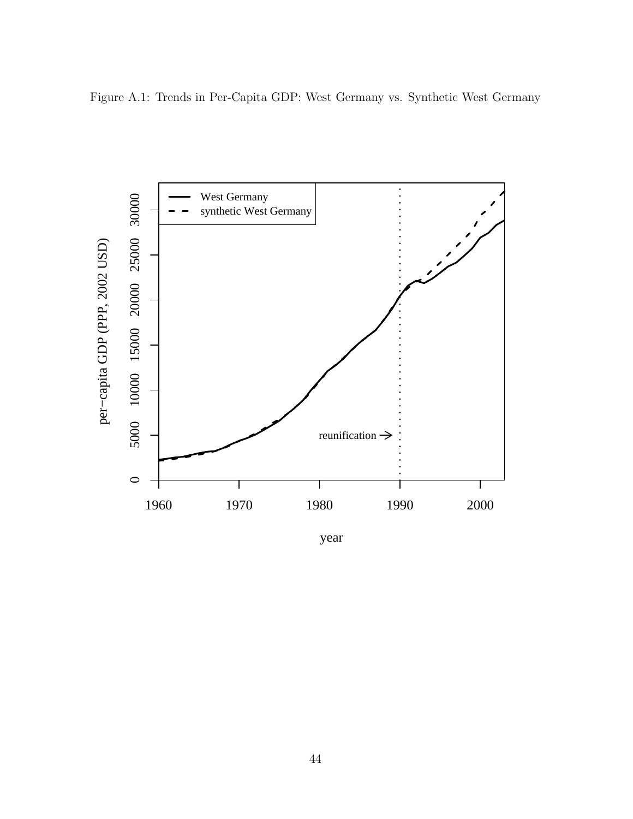



year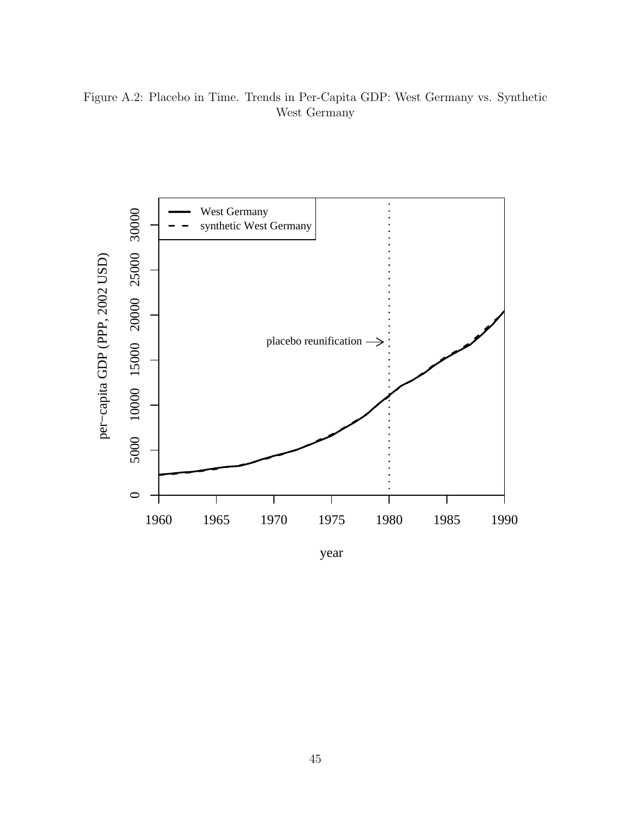Figure A.2: Placebo in Time. Trends in Per-Capita GDP: West Germany vs. Synthetic West Germany

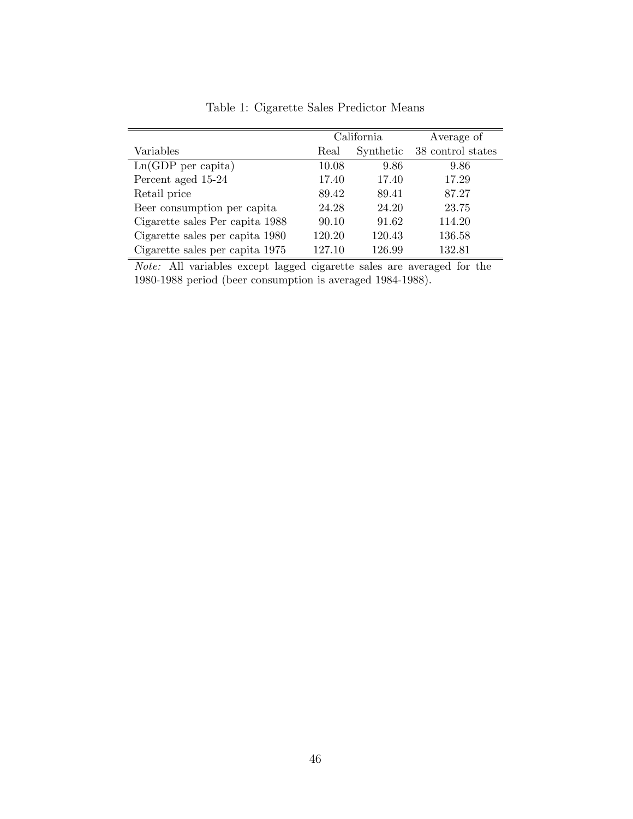|                                 |        | California | Average of        |
|---------------------------------|--------|------------|-------------------|
| Variables                       | Real   | Synthetic  | 38 control states |
| $Ln(GDP$ per capita)            | 10.08  | 9.86       | 9.86              |
| Percent aged 15-24              | 17.40  | 17.40      | 17.29             |
| Retail price                    | 89.42  | 89.41      | 87.27             |
| Beer consumption per capita     | 24.28  | 24.20      | 23.75             |
| Cigarette sales Per capita 1988 | 90.10  | 91.62      | 114.20            |
| Cigarette sales per capita 1980 | 120.20 | 120.43     | 136.58            |
| Cigarette sales per capita 1975 | 127.10 | 126.99     | 132.81            |

Table 1: Cigarette Sales Predictor Means

Note: All variables except lagged cigarette sales are averaged for the 1980-1988 period (beer consumption is averaged 1984-1988).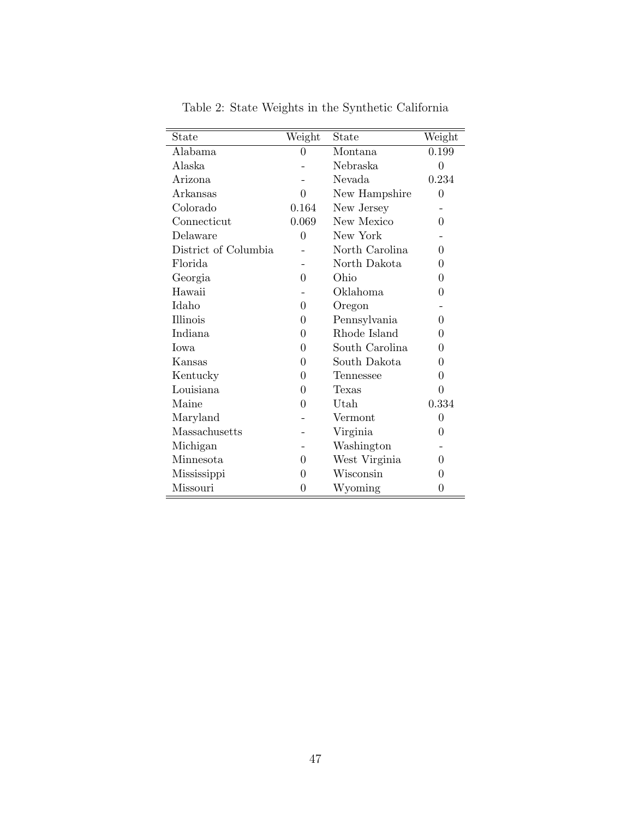| State                | Weight         | State          | $\overline{\text{Weight}}$ |
|----------------------|----------------|----------------|----------------------------|
| Alabama              | $\overline{0}$ | Montana        | 0.199                      |
| Alaska               |                | Nebraska       | $\overline{0}$             |
| Arizona              |                | Nevada         | 0.234                      |
| Arkansas             | 0              | New Hampshire  | $\overline{0}$             |
| Colorado             | 0.164          | New Jersey     |                            |
| Connecticut          | 0.069          | New Mexico     | 0                          |
| Delaware             | $\overline{0}$ | New York       |                            |
| District of Columbia |                | North Carolina | $\theta$                   |
| Florida              |                | North Dakota   | $\overline{0}$             |
| Georgia              | 0              | Ohio           | $\theta$                   |
| Hawaii               |                | Oklahoma       | $\overline{0}$             |
| Idaho                | 0              | Oregon         |                            |
| Illinois             | $\overline{0}$ | Pennsylvania   | 0                          |
| Indiana              | $\theta$       | Rhode Island   | $\theta$                   |
| <b>I</b> owa         | 0              | South Carolina | 0                          |
| Kansas               | 0              | South Dakota   | 0                          |
| Kentucky             | 0              | Tennessee      | $\overline{0}$             |
| Louisiana            | 0              | Texas          | $\theta$                   |
| Maine                | $\theta$       | Utah           | 0.334                      |
| Maryland             |                | Vermont        | $\overline{0}$             |
| Massachusetts        |                | Virginia       | $\overline{0}$             |
| Michigan             |                | Washington     |                            |
| Minnesota            | 0              | West Virginia  | 0                          |
| Mississippi          | 0              | Wisconsin      | $\theta$                   |
| Missouri             | 0              | Wyoming        | $\boldsymbol{0}$           |

Table 2: State Weights in the Synthetic California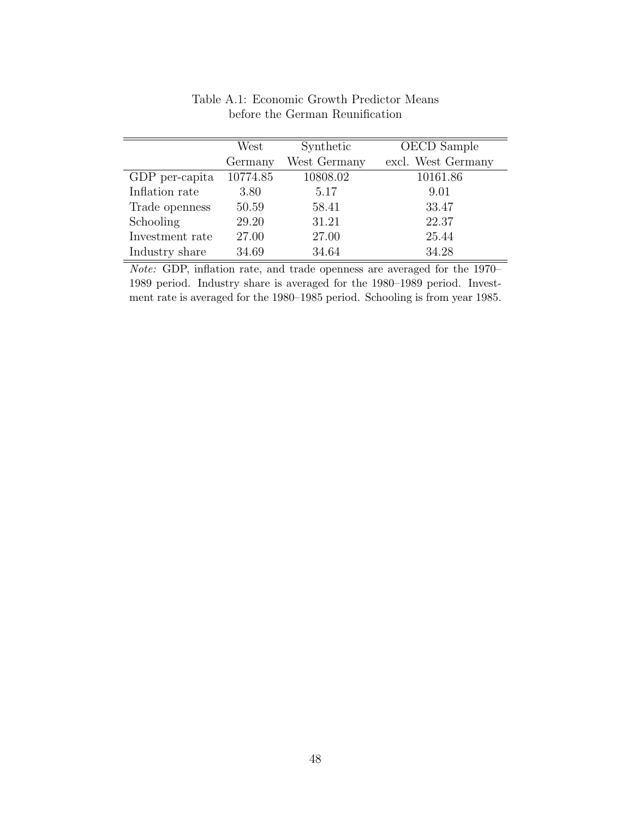|                 | West     | Synthetic    | OECD Sample        |
|-----------------|----------|--------------|--------------------|
|                 | Germany  | West Germany | excl. West Germany |
| GDP per-capita  | 10774.85 | 10808.02     | 10161.86           |
| Inflation rate  | 3.80     | 5.17         | 9.01               |
| Trade openness  | 50.59    | 58.41        | 33.47              |
| Schooling       | 29.20    | 31.21        | 22.37              |
| Investment rate | 27.00    | 27.00        | 25.44              |
| Industry share  | 34.69    | 34.64        | 34.28              |

Table A.1: Economic Growth Predictor Means before the German Reunification

Note: GDP, inflation rate, and trade openness are averaged for the 1970– 1989 period. Industry share is averaged for the 1980–1989 period. Investment rate is averaged for the 1980–1985 period. Schooling is from year 1985.